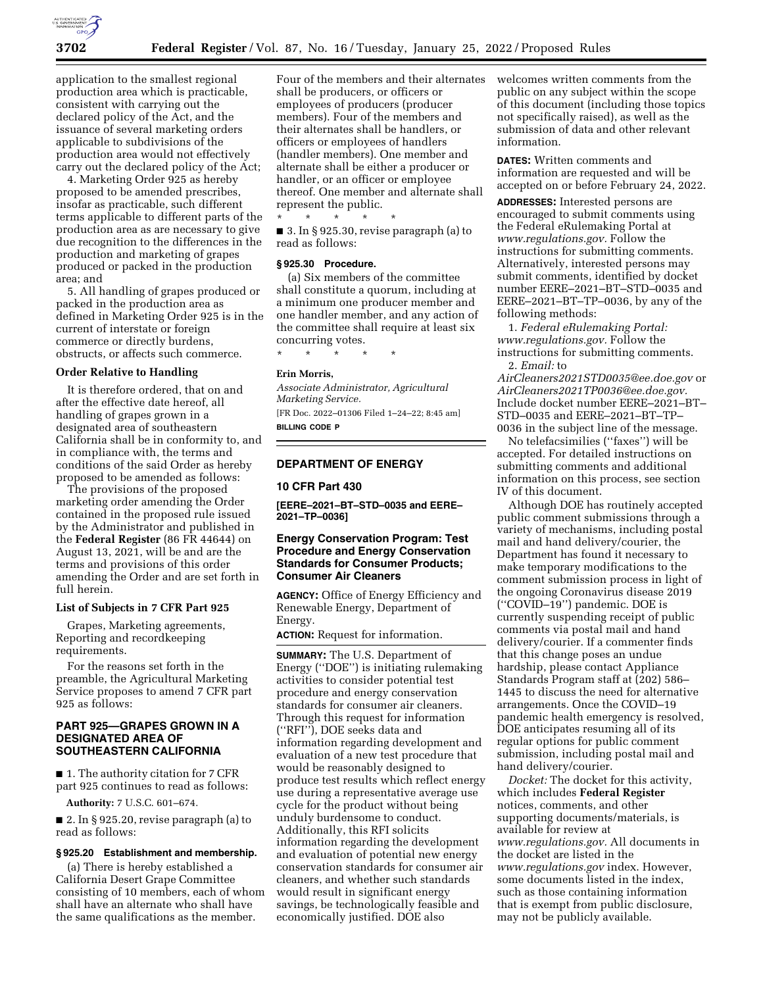

application to the smallest regional production area which is practicable, consistent with carrying out the declared policy of the Act, and the issuance of several marketing orders applicable to subdivisions of the production area would not effectively carry out the declared policy of the Act;

4. Marketing Order 925 as hereby proposed to be amended prescribes, insofar as practicable, such different terms applicable to different parts of the production area as are necessary to give due recognition to the differences in the production and marketing of grapes produced or packed in the production area; and

5. All handling of grapes produced or packed in the production area as defined in Marketing Order 925 is in the current of interstate or foreign commerce or directly burdens, obstructs, or affects such commerce.

#### **Order Relative to Handling**

It is therefore ordered, that on and after the effective date hereof, all handling of grapes grown in a designated area of southeastern California shall be in conformity to, and in compliance with, the terms and conditions of the said Order as hereby proposed to be amended as follows:

The provisions of the proposed marketing order amending the Order contained in the proposed rule issued by the Administrator and published in the **Federal Register** (86 FR 44644) on August 13, 2021, will be and are the terms and provisions of this order amending the Order and are set forth in full herein.

#### **List of Subjects in 7 CFR Part 925**

Grapes, Marketing agreements, Reporting and recordkeeping requirements.

For the reasons set forth in the preamble, the Agricultural Marketing Service proposes to amend 7 CFR part 925 as follows:

## **PART 925—GRAPES GROWN IN A DESIGNATED AREA OF SOUTHEASTERN CALIFORNIA**

■ 1. The authority citation for 7 CFR part 925 continues to read as follows:

**Authority:** 7 U.S.C. 601–674.

■ 2. In § 925.20, revise paragraph (a) to read as follows:

## **§ 925.20 Establishment and membership.**

(a) There is hereby established a California Desert Grape Committee consisting of 10 members, each of whom shall have an alternate who shall have the same qualifications as the member.

Four of the members and their alternates shall be producers, or officers or employees of producers (producer members). Four of the members and their alternates shall be handlers, or officers or employees of handlers (handler members). One member and alternate shall be either a producer or handler, or an officer or employee thereof. One member and alternate shall represent the public.

\* \* \* \* \* ■ 3. In § 925.30, revise paragraph (a) to read as follows:

### **§ 925.30 Procedure.**

(a) Six members of the committee shall constitute a quorum, including at a minimum one producer member and one handler member, and any action of the committee shall require at least six concurring votes.

\* \* \* \* \*

### **Erin Morris,**

*Associate Administrator, Agricultural Marketing Service.*  [FR Doc. 2022–01306 Filed 1–24–22; 8:45 am] **BILLING CODE P** 

## **DEPARTMENT OF ENERGY**

# **10 CFR Part 430**

**[EERE–2021–BT–STD–0035 and EERE– 2021–TP–0036]** 

# **Energy Conservation Program: Test Procedure and Energy Conservation Standards for Consumer Products; Consumer Air Cleaners**

**AGENCY:** Office of Energy Efficiency and Renewable Energy, Department of Energy.

**ACTION:** Request for information.

**SUMMARY:** The U.S. Department of Energy (''DOE'') is initiating rulemaking activities to consider potential test procedure and energy conservation standards for consumer air cleaners. Through this request for information (''RFI''), DOE seeks data and information regarding development and evaluation of a new test procedure that would be reasonably designed to produce test results which reflect energy use during a representative average use cycle for the product without being unduly burdensome to conduct. Additionally, this RFI solicits information regarding the development and evaluation of potential new energy conservation standards for consumer air cleaners, and whether such standards would result in significant energy savings, be technologically feasible and economically justified. DOE also

welcomes written comments from the public on any subject within the scope of this document (including those topics not specifically raised), as well as the submission of data and other relevant information.

**DATES:** Written comments and information are requested and will be accepted on or before February 24, 2022.

**ADDRESSES:** Interested persons are encouraged to submit comments using the Federal eRulemaking Portal at *[www.regulations.gov.](http://www.regulations.gov)* Follow the instructions for submitting comments. Alternatively, interested persons may submit comments, identified by docket number EERE–2021–BT–STD–0035 and EERE–2021–BT–TP–0036, by any of the following methods:

1. *Federal eRulemaking Portal: [www.regulations.gov.](http://www.regulations.gov)* Follow the instructions for submitting comments. 2. *Email:* to

*[AirCleaners2021STD0035@ee.doe.gov](mailto:AirCleaners2021STD0035@ee.doe.gov)* or *[AirCleaners2021TP0036@ee.doe.gov.](mailto:AirCleaners2021TP0036@ee.doe.gov)*  Include docket number EERE–2021–BT– STD–0035 and EERE–2021–BT–TP– 0036 in the subject line of the message.

No telefacsimilies (''faxes'') will be accepted. For detailed instructions on submitting comments and additional information on this process, see section IV of this document.

Although DOE has routinely accepted public comment submissions through a variety of mechanisms, including postal mail and hand delivery/courier, the Department has found it necessary to make temporary modifications to the comment submission process in light of the ongoing Coronavirus disease 2019 (''COVID–19'') pandemic. DOE is currently suspending receipt of public comments via postal mail and hand delivery/courier. If a commenter finds that this change poses an undue hardship, please contact Appliance Standards Program staff at (202) 586– 1445 to discuss the need for alternative arrangements. Once the COVID–19 pandemic health emergency is resolved, DOE anticipates resuming all of its regular options for public comment submission, including postal mail and hand delivery/courier.

*Docket:* The docket for this activity, which includes **Federal Register**  notices, comments, and other supporting documents/materials, is available for review at *[www.regulations.gov.](http://www.regulations.gov)* All documents in the docket are listed in the *[www.regulations.gov](http://www.regulations.gov)* index. However, some documents listed in the index, such as those containing information that is exempt from public disclosure, may not be publicly available.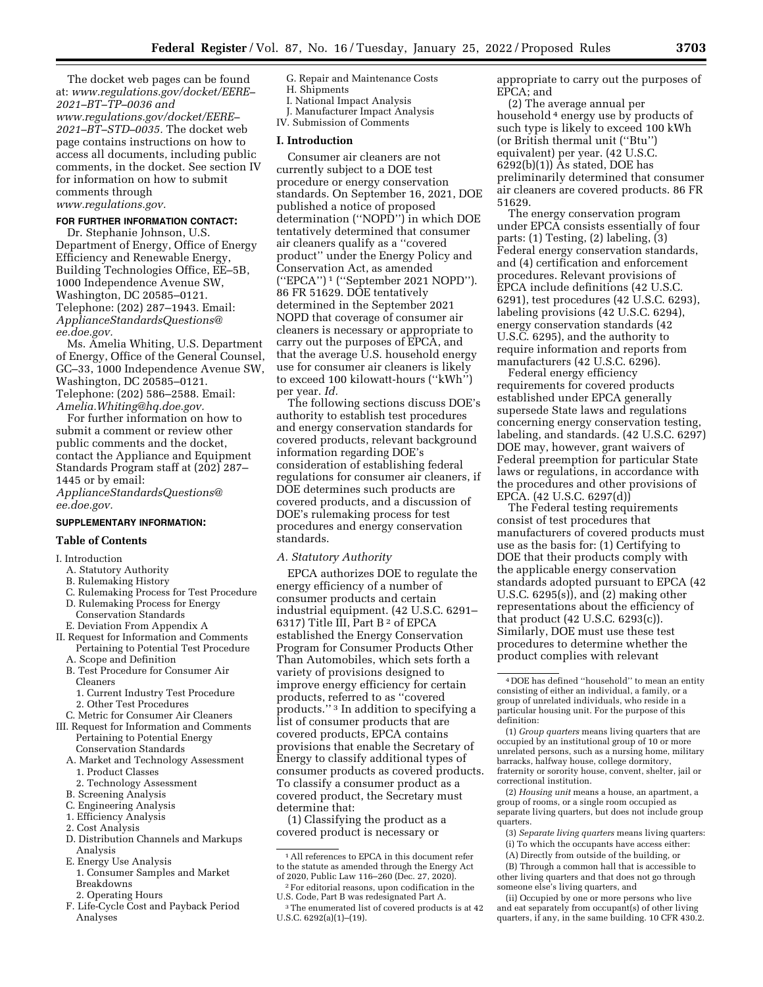The docket web pages can be found at: *[www.regulations.gov/docket/EERE–](https://www.regulations.gov/docket/EERE-2021-BT-TP-0036)  [2021–BT–TP–0036](https://www.regulations.gov/docket/EERE-2021-BT-TP-0036) and [www.regulations.gov/docket/EERE–](https://www.regulations.gov/docket/EERE-2021-BT-STD-0035)  [2021–BT–STD–0035.](https://www.regulations.gov/docket/EERE-2021-BT-STD-0035)* The docket web page contains instructions on how to access all documents, including public comments, in the docket. See section IV for information on how to submit comments through *[www.regulations.gov.](http://www.regulations.gov)* 

## **FOR FURTHER INFORMATION CONTACT:**

Dr. Stephanie Johnson, U.S. Department of Energy, Office of Energy Efficiency and Renewable Energy, Building Technologies Office, EE–5B, 1000 Independence Avenue SW, Washington, DC 20585–0121. Telephone: (202) 287–1943. Email: *[ApplianceStandardsQuestions@](mailto:ApplianceStandardsQuestions@ee.doe.gov) [ee.doe.gov.](mailto:ApplianceStandardsQuestions@ee.doe.gov)* 

Ms. Amelia Whiting, U.S. Department of Energy, Office of the General Counsel, GC–33, 1000 Independence Avenue SW, Washington, DC 20585–0121. Telephone: (202) 586–2588. Email: *[Amelia.Whiting@hq.doe.gov.](mailto:Amelia.Whiting@hq.doe.gov)* 

For further information on how to submit a comment or review other public comments and the docket, contact the Appliance and Equipment Standards Program staff at (202) 287– 1445 or by email: *[ApplianceStandardsQuestions@](mailto:ApplianceStandardsQuestions@ee.doe.gov)*

*[ee.doe.gov.](mailto:ApplianceStandardsQuestions@ee.doe.gov)* 

### **SUPPLEMENTARY INFORMATION:**

### **Table of Contents**

#### I. Introduction

- A. Statutory Authority
- B. Rulemaking History
- C. Rulemaking Process for Test Procedure D. Rulemaking Process for Energy
- Conservation Standards
- E. Deviation From Appendix A
- II. Request for Information and Comments Pertaining to Potential Test Procedure
	- A. Scope and Definition
	- B. Test Procedure for Consumer Air
	- Cleaners 1. Current Industry Test Procedure 2. Other Test Procedures
	-
- C. Metric for Consumer Air Cleaners III. Request for Information and Comments
- Pertaining to Potential Energy Conservation Standards
- A. Market and Technology Assessment 1. Product Classes
- 2. Technology Assessment
- B. Screening Analysis
- C. Engineering Analysis
- 1. Efficiency Analysis
- 2. Cost Analysis
- D. Distribution Channels and Markups Analysis
- E. Energy Use Analysis 1. Consumer Samples and Market Breakdowns
- 2. Operating Hours
- F. Life-Cycle Cost and Payback Period Analyses

G. Repair and Maintenance Costs H. Shipments I. National Impact Analysis

- J. Manufacturer Impact Analysis
- IV. Submission of Comments

#### **I. Introduction**

Consumer air cleaners are not currently subject to a DOE test procedure or energy conservation standards. On September 16, 2021, DOE published a notice of proposed determination (''NOPD'') in which DOE tentatively determined that consumer air cleaners qualify as a ''covered product'' under the Energy Policy and Conservation Act, as amended (''EPCA'') 1 (''September 2021 NOPD''). 86 FR 51629. DOE tentatively determined in the September 2021 NOPD that coverage of consumer air cleaners is necessary or appropriate to carry out the purposes of EPCA, and that the average U.S. household energy use for consumer air cleaners is likely to exceed 100 kilowatt-hours (''kWh'') per year. *Id.* 

The following sections discuss DOE's authority to establish test procedures and energy conservation standards for covered products, relevant background information regarding DOE's consideration of establishing federal regulations for consumer air cleaners, if DOE determines such products are covered products, and a discussion of DOE's rulemaking process for test procedures and energy conservation standards.

#### *A. Statutory Authority*

EPCA authorizes DOE to regulate the energy efficiency of a number of consumer products and certain industrial equipment. (42 U.S.C. 6291– 6317) Title III, Part B 2 of EPCA established the Energy Conservation Program for Consumer Products Other Than Automobiles, which sets forth a variety of provisions designed to improve energy efficiency for certain products, referred to as ''covered products.'' 3 In addition to specifying a list of consumer products that are covered products, EPCA contains provisions that enable the Secretary of Energy to classify additional types of consumer products as covered products. To classify a consumer product as a covered product, the Secretary must determine that:

(1) Classifying the product as a covered product is necessary or

appropriate to carry out the purposes of EPCA; and

(2) The average annual per household 4 energy use by products of such type is likely to exceed 100 kWh (or British thermal unit (''Btu'') equivalent) per year. (42 U.S.C. 6292(b)(1)) As stated, DOE has preliminarily determined that consumer air cleaners are covered products. 86 FR 51629.

The energy conservation program under EPCA consists essentially of four parts: (1) Testing, (2) labeling, (3) Federal energy conservation standards, and (4) certification and enforcement procedures. Relevant provisions of EPCA include definitions (42 U.S.C. 6291), test procedures (42 U.S.C. 6293), labeling provisions (42 U.S.C. 6294), energy conservation standards (42 U.S.C. 6295), and the authority to require information and reports from manufacturers (42 U.S.C. 6296).

Federal energy efficiency requirements for covered products established under EPCA generally supersede State laws and regulations concerning energy conservation testing, labeling, and standards. (42 U.S.C. 6297) DOE may, however, grant waivers of Federal preemption for particular State laws or regulations, in accordance with the procedures and other provisions of EPCA. (42 U.S.C. 6297(d))

The Federal testing requirements consist of test procedures that manufacturers of covered products must use as the basis for: (1) Certifying to DOE that their products comply with the applicable energy conservation standards adopted pursuant to EPCA (42 U.S.C. 6295(s)), and (2) making other representations about the efficiency of that product (42 U.S.C. 6293(c)). Similarly, DOE must use these test procedures to determine whether the product complies with relevant

(1) *Group quarters* means living quarters that are occupied by an institutional group of 10 or more unrelated persons, such as a nursing home, military barracks, halfway house, college dormitory, fraternity or sorority house, convent, shelter, jail or correctional institution.

(2) *Housing unit* means a house, an apartment, a group of rooms, or a single room occupied as separate living quarters, but does not include group quarters.

- (3) *Separate living quarters* means living quarters: (i) To which the occupants have access either:
- (A) Directly from outside of the building, or
- 

(B) Through a common hall that is accessible to other living quarters and that does not go through someone else's living quarters, and

(ii) Occupied by one or more persons who live and eat separately from occupant(s) of other living quarters, if any, in the same building. 10 CFR 430.2.

<sup>1</sup>All references to EPCA in this document refer to the statute as amended through the Energy Act

of 2020, Public Law 116–260 (Dec. 27, 2020).<br><sup>2</sup> For editorial reasons, upon codification in the U.S. Code, Part B was redesignated Part A.

<sup>&</sup>lt;sup>3</sup>The enumerated list of covered products is at 42 U.S.C. 6292(a)(1)–(19).

<sup>4</sup> DOE has defined ''household'' to mean an entity consisting of either an individual, a family, or a group of unrelated individuals, who reside in a particular housing unit. For the purpose of this definition: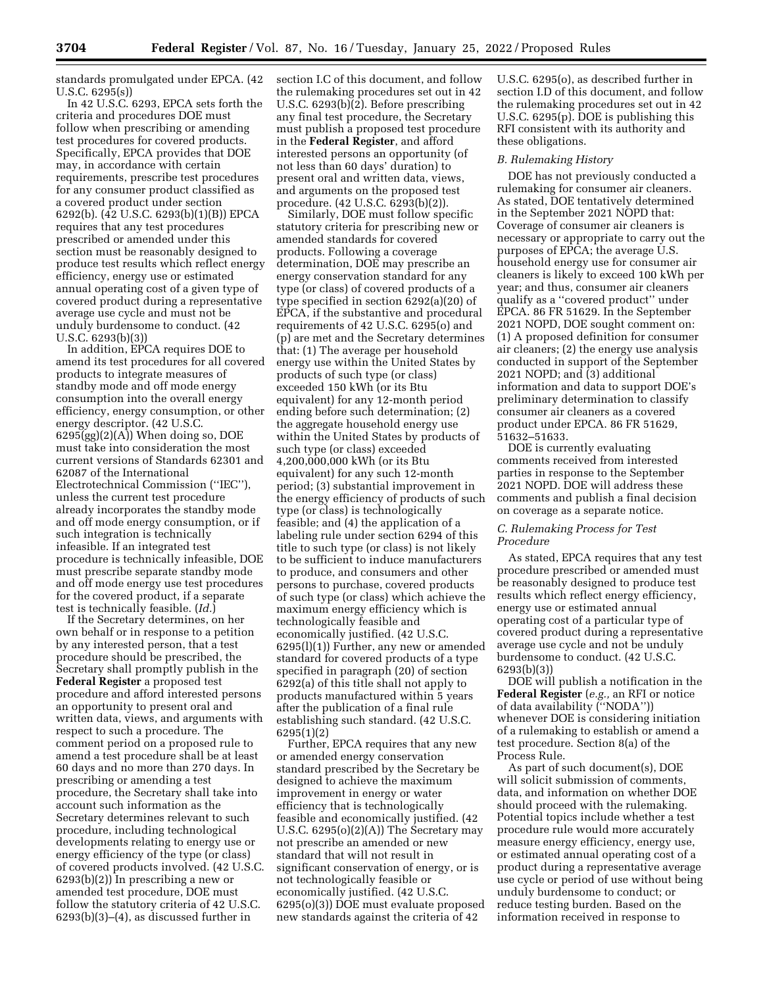standards promulgated under EPCA. (42 U.S.C. 6295(s))

In 42 U.S.C. 6293, EPCA sets forth the criteria and procedures DOE must follow when prescribing or amending test procedures for covered products. Specifically, EPCA provides that DOE may, in accordance with certain requirements, prescribe test procedures for any consumer product classified as a covered product under section 6292(b). (42 U.S.C. 6293(b)(1)(B)) EPCA requires that any test procedures prescribed or amended under this section must be reasonably designed to produce test results which reflect energy efficiency, energy use or estimated annual operating cost of a given type of covered product during a representative average use cycle and must not be unduly burdensome to conduct. (42 U.S.C. 6293(b)(3))

In addition, EPCA requires DOE to amend its test procedures for all covered products to integrate measures of standby mode and off mode energy consumption into the overall energy efficiency, energy consumption, or other energy descriptor. (42 U.S.C. 6295(gg)(2)(A)) When doing so, DOE must take into consideration the most current versions of Standards 62301 and 62087 of the International Electrotechnical Commission (''IEC''), unless the current test procedure already incorporates the standby mode and off mode energy consumption, or if such integration is technically infeasible. If an integrated test procedure is technically infeasible, DOE must prescribe separate standby mode and off mode energy use test procedures for the covered product, if a separate test is technically feasible. (*Id.*)

If the Secretary determines, on her own behalf or in response to a petition by any interested person, that a test procedure should be prescribed, the Secretary shall promptly publish in the **Federal Register** a proposed test procedure and afford interested persons an opportunity to present oral and written data, views, and arguments with respect to such a procedure. The comment period on a proposed rule to amend a test procedure shall be at least 60 days and no more than 270 days. In prescribing or amending a test procedure, the Secretary shall take into account such information as the Secretary determines relevant to such procedure, including technological developments relating to energy use or energy efficiency of the type (or class) of covered products involved. (42 U.S.C. 6293(b)(2)) In prescribing a new or amended test procedure, DOE must follow the statutory criteria of 42 U.S.C. 6293(b)(3)–(4), as discussed further in

section I.C of this document, and follow the rulemaking procedures set out in 42 U.S.C. 6293(b)(2). Before prescribing any final test procedure, the Secretary must publish a proposed test procedure in the **Federal Register**, and afford interested persons an opportunity (of not less than 60 days' duration) to present oral and written data, views, and arguments on the proposed test procedure. (42 U.S.C. 6293(b)(2)).

Similarly, DOE must follow specific statutory criteria for prescribing new or amended standards for covered products. Following a coverage determination, DOE may prescribe an energy conservation standard for any type (or class) of covered products of a type specified in section 6292(a)(20) of EPCA, if the substantive and procedural requirements of 42 U.S.C. 6295(o) and (p) are met and the Secretary determines that: (1) The average per household energy use within the United States by products of such type (or class) exceeded 150 kWh (or its Btu equivalent) for any 12-month period ending before such determination; (2) the aggregate household energy use within the United States by products of such type (or class) exceeded 4,200,000,000 kWh (or its Btu equivalent) for any such 12-month period; (3) substantial improvement in the energy efficiency of products of such type (or class) is technologically feasible; and (4) the application of a labeling rule under section 6294 of this title to such type (or class) is not likely to be sufficient to induce manufacturers to produce, and consumers and other persons to purchase, covered products of such type (or class) which achieve the maximum energy efficiency which is technologically feasible and economically justified. (42 U.S.C. 6295(l)(1)) Further, any new or amended standard for covered products of a type specified in paragraph (20) of section 6292(a) of this title shall not apply to products manufactured within 5 years after the publication of a final rule establishing such standard. (42 U.S.C. 6295(1)(2)

Further, EPCA requires that any new or amended energy conservation standard prescribed by the Secretary be designed to achieve the maximum improvement in energy or water efficiency that is technologically feasible and economically justified. (42 U.S.C. 6295(o)(2)(A)) The Secretary may not prescribe an amended or new standard that will not result in significant conservation of energy, or is not technologically feasible or economically justified. (42 U.S.C. 6295(o)(3)) DOE must evaluate proposed new standards against the criteria of 42

U.S.C. 6295(o), as described further in section I.D of this document, and follow the rulemaking procedures set out in 42 U.S.C. 6295(p). DOE is publishing this RFI consistent with its authority and these obligations.

#### *B. Rulemaking History*

DOE has not previously conducted a rulemaking for consumer air cleaners. As stated, DOE tentatively determined in the September 2021 NOPD that: Coverage of consumer air cleaners is necessary or appropriate to carry out the purposes of EPCA; the average U.S. household energy use for consumer air cleaners is likely to exceed 100 kWh per year; and thus, consumer air cleaners qualify as a ''covered product'' under EPCA. 86 FR 51629. In the September 2021 NOPD, DOE sought comment on: (1) A proposed definition for consumer air cleaners; (2) the energy use analysis conducted in support of the September 2021 NOPD; and (3) additional information and data to support DOE's preliminary determination to classify consumer air cleaners as a covered product under EPCA. 86 FR 51629, 51632–51633.

DOE is currently evaluating comments received from interested parties in response to the September 2021 NOPD. DOE will address these comments and publish a final decision on coverage as a separate notice.

### *C. Rulemaking Process for Test Procedure*

As stated, EPCA requires that any test procedure prescribed or amended must be reasonably designed to produce test results which reflect energy efficiency, energy use or estimated annual operating cost of a particular type of covered product during a representative average use cycle and not be unduly burdensome to conduct. (42 U.S.C. 6293(b)(3))

DOE will publish a notification in the **Federal Register** (*e.g.,* an RFI or notice of data availability (''NODA'')) whenever DOE is considering initiation of a rulemaking to establish or amend a test procedure. Section 8(a) of the Process Rule.

As part of such document(s), DOE will solicit submission of comments, data, and information on whether DOE should proceed with the rulemaking. Potential topics include whether a test procedure rule would more accurately measure energy efficiency, energy use, or estimated annual operating cost of a product during a representative average use cycle or period of use without being unduly burdensome to conduct; or reduce testing burden. Based on the information received in response to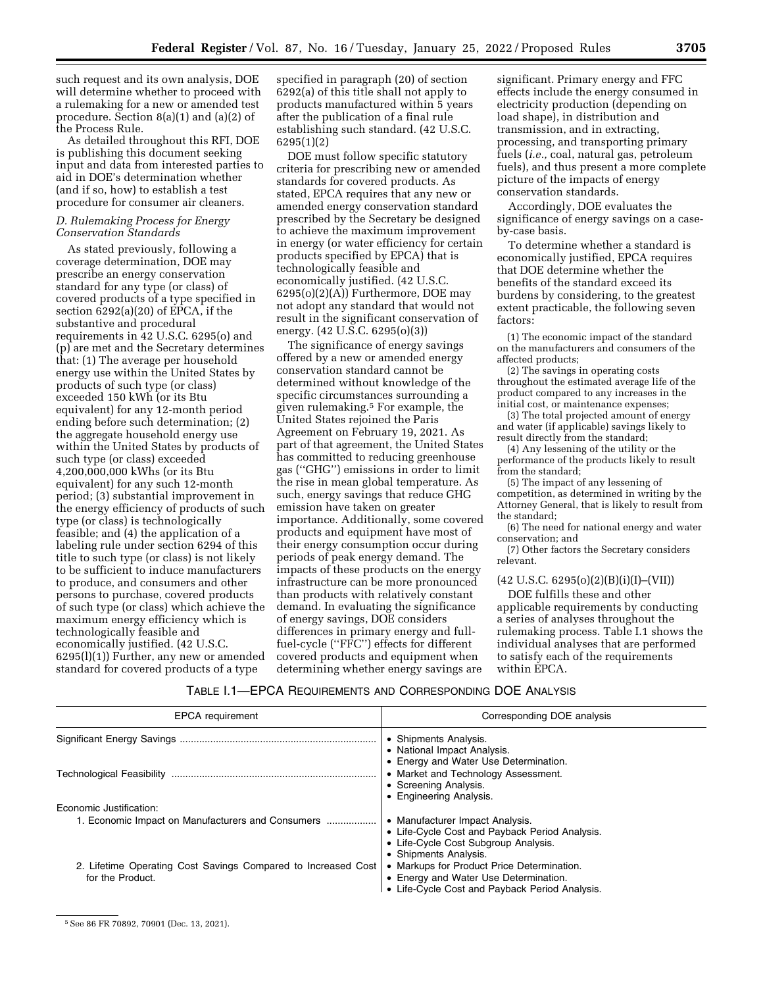such request and its own analysis, DOE will determine whether to proceed with a rulemaking for a new or amended test procedure. Section 8(a)(1) and (a)(2) of the Process Rule.

As detailed throughout this RFI, DOE is publishing this document seeking input and data from interested parties to aid in DOE's determination whether (and if so, how) to establish a test procedure for consumer air cleaners.

### *D. Rulemaking Process for Energy Conservation Standards*

As stated previously, following a coverage determination, DOE may prescribe an energy conservation standard for any type (or class) of covered products of a type specified in section 6292(a)(20) of EPCA, if the substantive and procedural requirements in 42 U.S.C. 6295(o) and (p) are met and the Secretary determines that: (1) The average per household energy use within the United States by products of such type (or class) exceeded 150 kWh (or its Btu equivalent) for any 12-month period ending before such determination; (2) the aggregate household energy use within the United States by products of such type (or class) exceeded 4,200,000,000 kWhs (or its Btu equivalent) for any such 12-month period; (3) substantial improvement in the energy efficiency of products of such type (or class) is technologically feasible; and (4) the application of a labeling rule under section 6294 of this title to such type (or class) is not likely to be sufficient to induce manufacturers to produce, and consumers and other persons to purchase, covered products of such type (or class) which achieve the maximum energy efficiency which is technologically feasible and economically justified. (42 U.S.C. 6295(l)(1)) Further, any new or amended standard for covered products of a type

specified in paragraph (20) of section 6292(a) of this title shall not apply to products manufactured within 5 years after the publication of a final rule establishing such standard. (42 U.S.C. 6295(1)(2)

DOE must follow specific statutory criteria for prescribing new or amended standards for covered products. As stated, EPCA requires that any new or amended energy conservation standard prescribed by the Secretary be designed to achieve the maximum improvement in energy (or water efficiency for certain products specified by EPCA) that is technologically feasible and economically justified. (42 U.S.C.  $6295(o)(2)(A)$ ) Furthermore, DOE may not adopt any standard that would not result in the significant conservation of energy. (42 U.S.C. 6295(o)(3))

The significance of energy savings offered by a new or amended energy conservation standard cannot be determined without knowledge of the specific circumstances surrounding a given rulemaking.5 For example, the United States rejoined the Paris Agreement on February 19, 2021. As part of that agreement, the United States has committed to reducing greenhouse gas (''GHG'') emissions in order to limit the rise in mean global temperature. As such, energy savings that reduce GHG emission have taken on greater importance. Additionally, some covered products and equipment have most of their energy consumption occur during periods of peak energy demand. The impacts of these products on the energy infrastructure can be more pronounced than products with relatively constant demand. In evaluating the significance of energy savings, DOE considers differences in primary energy and fullfuel-cycle (''FFC'') effects for different covered products and equipment when determining whether energy savings are

significant. Primary energy and FFC effects include the energy consumed in electricity production (depending on load shape), in distribution and transmission, and in extracting, processing, and transporting primary fuels (*i.e.,* coal, natural gas, petroleum fuels), and thus present a more complete picture of the impacts of energy conservation standards.

Accordingly, DOE evaluates the significance of energy savings on a caseby-case basis.

To determine whether a standard is economically justified, EPCA requires that DOE determine whether the benefits of the standard exceed its burdens by considering, to the greatest extent practicable, the following seven factors:

(1) The economic impact of the standard on the manufacturers and consumers of the affected products;

(2) The savings in operating costs throughout the estimated average life of the product compared to any increases in the initial cost, or maintenance expenses;

(3) The total projected amount of energy and water (if applicable) savings likely to result directly from the standard;

(4) Any lessening of the utility or the performance of the products likely to result from the standard;

(5) The impact of any lessening of competition, as determined in writing by the Attorney General, that is likely to result from the standard;

(6) The need for national energy and water conservation; and

(7) Other factors the Secretary considers relevant.

# $(42 \text{ U.S.C. } 6295(o)(2)(B)(i)(I)–(VII))$

DOE fulfills these and other applicable requirements by conducting a series of analyses throughout the rulemaking process. Table I.1 shows the individual analyses that are performed to satisfy each of the requirements within EPCA.

| <b>EPCA</b> requirement                                                           | Corresponding DOE analysis                                                                                                                         |
|-----------------------------------------------------------------------------------|----------------------------------------------------------------------------------------------------------------------------------------------------|
|                                                                                   | • Shipments Analysis.<br>• National Impact Analysis.<br>• Energy and Water Use Determination.                                                      |
|                                                                                   | • Market and Technology Assessment.<br>• Screening Analysis.<br>• Engineering Analysis.                                                            |
| Economic Justification:                                                           |                                                                                                                                                    |
| 1. Economic Impact on Manufacturers and Consumers                                 | • Manufacturer Impact Analysis.<br>• Life-Cycle Cost and Payback Period Analysis.<br>• Life-Cycle Cost Subgroup Analysis.<br>• Shipments Analysis. |
| 2. Lifetime Operating Cost Savings Compared to Increased Cost<br>for the Product. | • Markups for Product Price Determination.<br>• Energy and Water Use Determination.<br>• Life-Cycle Cost and Payback Period Analysis.              |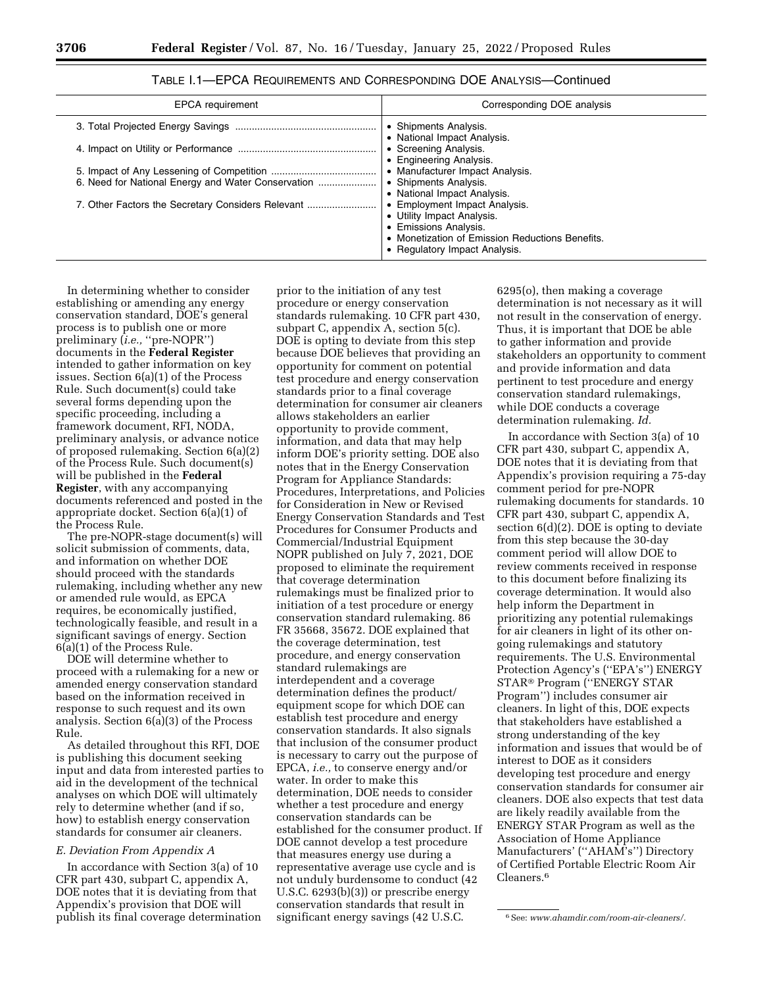| <b>EPCA</b> requirement                                                                                 | Corresponding DOE analysis                                                                                                                                                                                                                                                                                                                                                      |
|---------------------------------------------------------------------------------------------------------|---------------------------------------------------------------------------------------------------------------------------------------------------------------------------------------------------------------------------------------------------------------------------------------------------------------------------------------------------------------------------------|
| 6. Need for National Energy and Water Conservation<br>7. Other Factors the Secretary Considers Relevant | • Shipments Analysis.<br>• National Impact Analysis.<br>• Screening Analysis.<br>• Engineering Analysis.<br>• Manufacturer Impact Analysis.<br>• Shipments Analysis.<br>• National Impact Analysis.<br>• Employment Impact Analysis.<br>• Utility Impact Analysis.<br>• Emissions Analysis.<br>• Monetization of Emission Reductions Benefits.<br>• Regulatory Impact Analysis. |

TABLE I.1—EPCA REQUIREMENTS AND CORRESPONDING DOE ANALYSIS—Continued

In determining whether to consider establishing or amending any energy conservation standard, DOE's general process is to publish one or more preliminary (i.e., "pre-NOPR") documents in the **Federal Register**  intended to gather information on key issues. Section 6(a)(1) of the Process Rule. Such document(s) could take several forms depending upon the specific proceeding, including a framework document, RFI, NODA, preliminary analysis, or advance notice of proposed rulemaking. Section 6(a)(2) of the Process Rule. Such document(s) will be published in the **Federal Register**, with any accompanying documents referenced and posted in the appropriate docket. Section 6(a)(1) of the Process Rule.

The pre-NOPR-stage document(s) will solicit submission of comments, data, and information on whether DOE should proceed with the standards rulemaking, including whether any new or amended rule would, as EPCA requires, be economically justified, technologically feasible, and result in a significant savings of energy. Section 6(a)(1) of the Process Rule.

DOE will determine whether to proceed with a rulemaking for a new or amended energy conservation standard based on the information received in response to such request and its own analysis. Section 6(a)(3) of the Process Rule.

As detailed throughout this RFI, DOE is publishing this document seeking input and data from interested parties to aid in the development of the technical analyses on which DOE will ultimately rely to determine whether (and if so, how) to establish energy conservation standards for consumer air cleaners.

#### *E. Deviation From Appendix A*

In accordance with Section 3(a) of 10 CFR part 430, subpart C, appendix A, DOE notes that it is deviating from that Appendix's provision that DOE will publish its final coverage determination

prior to the initiation of any test procedure or energy conservation standards rulemaking. 10 CFR part 430, subpart C, appendix A, section 5(c). DOE is opting to deviate from this step because DOE believes that providing an opportunity for comment on potential test procedure and energy conservation standards prior to a final coverage determination for consumer air cleaners allows stakeholders an earlier opportunity to provide comment, information, and data that may help inform DOE's priority setting. DOE also notes that in the Energy Conservation Program for Appliance Standards: Procedures, Interpretations, and Policies for Consideration in New or Revised Energy Conservation Standards and Test Procedures for Consumer Products and Commercial/Industrial Equipment NOPR published on July 7, 2021, DOE proposed to eliminate the requirement that coverage determination rulemakings must be finalized prior to initiation of a test procedure or energy conservation standard rulemaking. 86 FR 35668, 35672. DOE explained that the coverage determination, test procedure, and energy conservation standard rulemakings are interdependent and a coverage determination defines the product/ equipment scope for which DOE can establish test procedure and energy conservation standards. It also signals that inclusion of the consumer product is necessary to carry out the purpose of EPCA, *i.e.,* to conserve energy and/or water. In order to make this determination, DOE needs to consider whether a test procedure and energy conservation standards can be established for the consumer product. If DOE cannot develop a test procedure that measures energy use during a representative average use cycle and is not unduly burdensome to conduct (42 U.S.C. 6293(b)(3)) or prescribe energy conservation standards that result in significant energy savings (42 U.S.C.

6295(o), then making a coverage determination is not necessary as it will not result in the conservation of energy. Thus, it is important that DOE be able to gather information and provide stakeholders an opportunity to comment and provide information and data pertinent to test procedure and energy conservation standard rulemakings, while DOE conducts a coverage determination rulemaking. *Id.* 

In accordance with Section 3(a) of 10 CFR part 430, subpart C, appendix A, DOE notes that it is deviating from that Appendix's provision requiring a 75-day comment period for pre-NOPR rulemaking documents for standards. 10 CFR part 430, subpart C, appendix A, section 6(d)(2). DOE is opting to deviate from this step because the 30-day comment period will allow DOE to review comments received in response to this document before finalizing its coverage determination. It would also help inform the Department in prioritizing any potential rulemakings for air cleaners in light of its other ongoing rulemakings and statutory requirements. The U.S. Environmental Protection Agency's (''EPA's'') ENERGY STAR® Program (''ENERGY STAR Program'') includes consumer air cleaners. In light of this, DOE expects that stakeholders have established a strong understanding of the key information and issues that would be of interest to DOE as it considers developing test procedure and energy conservation standards for consumer air cleaners. DOE also expects that test data are likely readily available from the ENERGY STAR Program as well as the Association of Home Appliance Manufacturers' (''AHAM's'') Directory of Certified Portable Electric Room Air Cleaners.6

<sup>6</sup>See: *[www.ahamdir.com/room-air-cleaners/.](http://www.ahamdir.com/room-air-cleaners/)*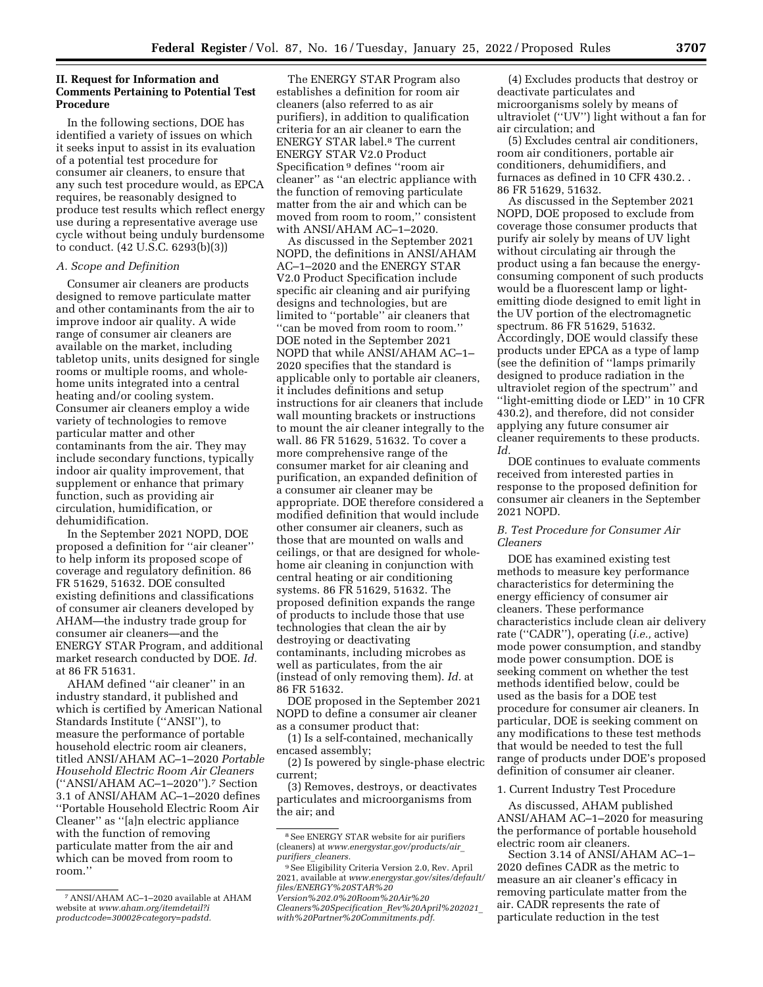# **II. Request for Information and Comments Pertaining to Potential Test Procedure**

In the following sections, DOE has identified a variety of issues on which it seeks input to assist in its evaluation of a potential test procedure for consumer air cleaners, to ensure that any such test procedure would, as EPCA requires, be reasonably designed to produce test results which reflect energy use during a representative average use cycle without being unduly burdensome to conduct. (42 U.S.C. 6293(b)(3))

### *A. Scope and Definition*

Consumer air cleaners are products designed to remove particulate matter and other contaminants from the air to improve indoor air quality. A wide range of consumer air cleaners are available on the market, including tabletop units, units designed for single rooms or multiple rooms, and wholehome units integrated into a central heating and/or cooling system. Consumer air cleaners employ a wide variety of technologies to remove particular matter and other contaminants from the air. They may include secondary functions, typically indoor air quality improvement, that supplement or enhance that primary function, such as providing air circulation, humidification, or dehumidification.

In the September 2021 NOPD, DOE proposed a definition for ''air cleaner'' to help inform its proposed scope of coverage and regulatory definition. 86 FR 51629, 51632. DOE consulted existing definitions and classifications of consumer air cleaners developed by AHAM—the industry trade group for consumer air cleaners—and the ENERGY STAR Program, and additional market research conducted by DOE. *Id.*  at 86 FR 51631.

AHAM defined ''air cleaner'' in an industry standard, it published and which is certified by American National Standards Institute (''ANSI''), to measure the performance of portable household electric room air cleaners, titled ANSI/AHAM AC–1–2020 *Portable Household Electric Room Air Cleaners*  (''ANSI/AHAM AC–1–2020'').7 Section 3.1 of ANSI/AHAM AC–1–2020 defines ''Portable Household Electric Room Air Cleaner'' as ''[a]n electric appliance with the function of removing particulate matter from the air and which can be moved from room to room.''

The ENERGY STAR Program also establishes a definition for room air cleaners (also referred to as air purifiers), in addition to qualification criteria for an air cleaner to earn the ENERGY STAR label.8 The current ENERGY STAR V2.0 Product Specification 9 defines ''room air cleaner'' as ''an electric appliance with the function of removing particulate matter from the air and which can be moved from room to room,'' consistent with ANSI/AHAM AC–1–2020.

As discussed in the September 2021 NOPD, the definitions in ANSI/AHAM AC–1–2020 and the ENERGY STAR V2.0 Product Specification include specific air cleaning and air purifying designs and technologies, but are limited to ''portable'' air cleaners that ''can be moved from room to room.'' DOE noted in the September 2021 NOPD that while ANSI/AHAM AC–1– 2020 specifies that the standard is applicable only to portable air cleaners, it includes definitions and setup instructions for air cleaners that include wall mounting brackets or instructions to mount the air cleaner integrally to the wall. 86 FR 51629, 51632. To cover a more comprehensive range of the consumer market for air cleaning and purification, an expanded definition of a consumer air cleaner may be appropriate. DOE therefore considered a modified definition that would include other consumer air cleaners, such as those that are mounted on walls and ceilings, or that are designed for wholehome air cleaning in conjunction with central heating or air conditioning systems. 86 FR 51629, 51632. The proposed definition expands the range of products to include those that use technologies that clean the air by destroying or deactivating contaminants, including microbes as well as particulates, from the air (instead of only removing them). *Id.* at 86 FR 51632.

DOE proposed in the September 2021 NOPD to define a consumer air cleaner as a consumer product that:

(1) Is a self-contained, mechanically encased assembly;

(2) Is powered by single-phase electric current;

(3) Removes, destroys, or deactivates particulates and microorganisms from the air; and

9See Eligibility Criteria Version 2.0, Rev. April 2021, available at *[www.energystar.gov/sites/default/](http://www.energystar.gov/sites/default/files/ENERGY%20STAR%20Version%202.0%20Room%20Air%20Cleaners%20Specification_Rev%20April%202021_with%20Partner%20Commitments.pdf) [files/ENERGY%20STAR%20](http://www.energystar.gov/sites/default/files/ENERGY%20STAR%20Version%202.0%20Room%20Air%20Cleaners%20Specification_Rev%20April%202021_with%20Partner%20Commitments.pdf) [Version%202.0%20Room%20Air%20](http://www.energystar.gov/sites/default/files/ENERGY%20STAR%20Version%202.0%20Room%20Air%20Cleaners%20Specification_Rev%20April%202021_with%20Partner%20Commitments.pdf)*

*[Cleaners%20Specification](http://www.energystar.gov/sites/default/files/ENERGY%20STAR%20Version%202.0%20Room%20Air%20Cleaners%20Specification_Rev%20April%202021_with%20Partner%20Commitments.pdf)*\_*Rev%20April%202021*\_ *[with%20Partner%20Commitments.pdf.](http://www.energystar.gov/sites/default/files/ENERGY%20STAR%20Version%202.0%20Room%20Air%20Cleaners%20Specification_Rev%20April%202021_with%20Partner%20Commitments.pdf)* 

(4) Excludes products that destroy or deactivate particulates and microorganisms solely by means of ultraviolet (''UV'') light without a fan for air circulation; and

(5) Excludes central air conditioners, room air conditioners, portable air conditioners, dehumidifiers, and furnaces as defined in 10 CFR 430.2. . 86 FR 51629, 51632.

As discussed in the September 2021 NOPD, DOE proposed to exclude from coverage those consumer products that purify air solely by means of UV light without circulating air through the product using a fan because the energyconsuming component of such products would be a fluorescent lamp or lightemitting diode designed to emit light in the UV portion of the electromagnetic spectrum. 86 FR 51629, 51632. Accordingly, DOE would classify these products under EPCA as a type of lamp (see the definition of ''lamps primarily designed to produce radiation in the ultraviolet region of the spectrum'' and ''light-emitting diode or LED'' in 10 CFR 430.2), and therefore, did not consider applying any future consumer air cleaner requirements to these products. *Id.* 

DOE continues to evaluate comments received from interested parties in response to the proposed definition for consumer air cleaners in the September 2021 NOPD.

# *B. Test Procedure for Consumer Air Cleaners*

DOE has examined existing test methods to measure key performance characteristics for determining the energy efficiency of consumer air cleaners. These performance characteristics include clean air delivery rate (''CADR''), operating (*i.e.,* active) mode power consumption, and standby mode power consumption. DOE is seeking comment on whether the test methods identified below, could be used as the basis for a DOE test procedure for consumer air cleaners. In particular, DOE is seeking comment on any modifications to these test methods that would be needed to test the full range of products under DOE's proposed definition of consumer air cleaner.

1. Current Industry Test Procedure

As discussed, AHAM published ANSI/AHAM AC–1–2020 for measuring the performance of portable household electric room air cleaners.

Section 3.14 of ANSI/AHAM AC–1– 2020 defines CADR as the metric to measure an air cleaner's efficacy in removing particulate matter from the air. CADR represents the rate of particulate reduction in the test

<sup>7</sup>ANSI/AHAM AC–1–2020 available at AHAM website at *[www.aham.org/itemdetail?i](http://www.aham.org/itemdetail?iproductcode=30002&category=padstd) [productcode=30002&category=padstd.](http://www.aham.org/itemdetail?iproductcode=30002&category=padstd)* 

<sup>8</sup>See ENERGY STAR website for air purifiers (cleaners) at *[www.energystar.gov/products/air](http://www.energystar.gov/products/air_purifiers_cleaners)*\_ *purifiers*\_*[cleaners.](http://www.energystar.gov/products/air_purifiers_cleaners)*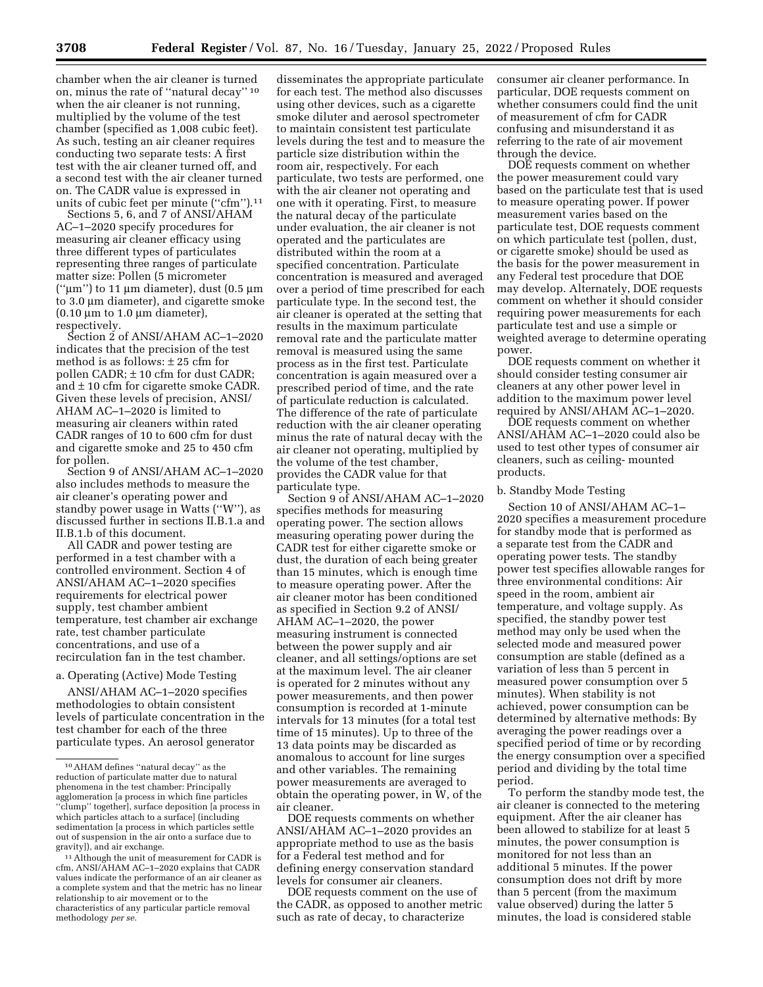chamber when the air cleaner is turned on, minus the rate of ''natural decay'' 10 when the air cleaner is not running, multiplied by the volume of the test chamber (specified as 1,008 cubic feet). As such, testing an air cleaner requires conducting two separate tests: A first test with the air cleaner turned off, and a second test with the air cleaner turned on. The CADR value is expressed in units of cubic feet per minute (''cfm'').11

Sections 5, 6, and 7 of ANSI/AHAM AC–1–2020 specify procedures for measuring air cleaner efficacy using three different types of particulates representing three ranges of particulate matter size: Pollen (5 micrometer (" $\mu$ m") to 11  $\mu$ m diameter), dust (0.5  $\mu$ m to 3.0 μm diameter), and cigarette smoke  $(0.10 \mu m)$  to 1.0  $\mu$ m diameter), respectively.

Section 2 of ANSI/AHAM AC–1–2020 indicates that the precision of the test method is as follows:  $\pm 25$  cfm for pollen CADR; ± 10 cfm for dust CADR; and ± 10 cfm for cigarette smoke CADR. Given these levels of precision, ANSI/ AHAM AC–1–2020 is limited to measuring air cleaners within rated CADR ranges of 10 to 600 cfm for dust and cigarette smoke and 25 to 450 cfm for pollen.

Section 9 of ANSI/AHAM AC–1–2020 also includes methods to measure the air cleaner's operating power and standby power usage in Watts (''W''), as discussed further in sections II.B.1.a and II.B.1.b of this document.

All CADR and power testing are performed in a test chamber with a controlled environment. Section 4 of ANSI/AHAM AC–1–2020 specifies requirements for electrical power supply, test chamber ambient temperature, test chamber air exchange rate, test chamber particulate concentrations, and use of a recirculation fan in the test chamber.

### a. Operating (Active) Mode Testing

ANSI/AHAM AC–1–2020 specifies methodologies to obtain consistent levels of particulate concentration in the test chamber for each of the three particulate types. An aerosol generator

disseminates the appropriate particulate for each test. The method also discusses using other devices, such as a cigarette smoke diluter and aerosol spectrometer to maintain consistent test particulate levels during the test and to measure the particle size distribution within the room air, respectively. For each particulate, two tests are performed, one with the air cleaner not operating and one with it operating. First, to measure the natural decay of the particulate under evaluation, the air cleaner is not operated and the particulates are distributed within the room at a specified concentration. Particulate concentration is measured and averaged over a period of time prescribed for each particulate type. In the second test, the air cleaner is operated at the setting that results in the maximum particulate removal rate and the particulate matter removal is measured using the same process as in the first test. Particulate concentration is again measured over a prescribed period of time, and the rate of particulate reduction is calculated. The difference of the rate of particulate reduction with the air cleaner operating minus the rate of natural decay with the air cleaner not operating, multiplied by the volume of the test chamber, provides the CADR value for that particulate type.

Section 9 of ANSI/AHAM AC–1–2020 specifies methods for measuring operating power. The section allows measuring operating power during the CADR test for either cigarette smoke or dust, the duration of each being greater than 15 minutes, which is enough time to measure operating power. After the air cleaner motor has been conditioned as specified in Section 9.2 of ANSI/ AHAM AC–1–2020, the power measuring instrument is connected between the power supply and air cleaner, and all settings/options are set at the maximum level. The air cleaner is operated for 2 minutes without any power measurements, and then power consumption is recorded at 1-minute intervals for 13 minutes (for a total test time of 15 minutes). Up to three of the 13 data points may be discarded as anomalous to account for line surges and other variables. The remaining power measurements are averaged to obtain the operating power, in W, of the air cleaner.

DOE requests comments on whether ANSI/AHAM AC–1–2020 provides an appropriate method to use as the basis for a Federal test method and for defining energy conservation standard levels for consumer air cleaners.

DOE requests comment on the use of the CADR, as opposed to another metric such as rate of decay, to characterize

consumer air cleaner performance. In particular, DOE requests comment on whether consumers could find the unit of measurement of cfm for CADR confusing and misunderstand it as referring to the rate of air movement through the device.

DOE requests comment on whether the power measurement could vary based on the particulate test that is used to measure operating power. If power measurement varies based on the particulate test, DOE requests comment on which particulate test (pollen, dust, or cigarette smoke) should be used as the basis for the power measurement in any Federal test procedure that DOE may develop. Alternately, DOE requests comment on whether it should consider requiring power measurements for each particulate test and use a simple or weighted average to determine operating power.

DOE requests comment on whether it should consider testing consumer air cleaners at any other power level in addition to the maximum power level required by ANSI/AHAM AC–1–2020.

DOE requests comment on whether ANSI/AHAM AC–1–2020 could also be used to test other types of consumer air cleaners, such as ceiling- mounted products.

### b. Standby Mode Testing

Section 10 of ANSI/AHAM AC–1– 2020 specifies a measurement procedure for standby mode that is performed as a separate test from the CADR and operating power tests. The standby power test specifies allowable ranges for three environmental conditions: Air speed in the room, ambient air temperature, and voltage supply. As specified, the standby power test method may only be used when the selected mode and measured power consumption are stable (defined as a variation of less than 5 percent in measured power consumption over 5 minutes). When stability is not achieved, power consumption can be determined by alternative methods: By averaging the power readings over a specified period of time or by recording the energy consumption over a specified period and dividing by the total time period.

To perform the standby mode test, the air cleaner is connected to the metering equipment. After the air cleaner has been allowed to stabilize for at least 5 minutes, the power consumption is monitored for not less than an additional 5 minutes. If the power consumption does not drift by more than 5 percent (from the maximum value observed) during the latter 5 minutes, the load is considered stable

<sup>10</sup>AHAM defines ''natural decay'' as the reduction of particulate matter due to natural phenomena in the test chamber: Principally agglomeration [a process in which fine particles ''clump'' together], surface deposition [a process in which particles attach to a surface] (including sedimentation [a process in which particles settle out of suspension in the air onto a surface due to gravity]), and air exchange.

<sup>11</sup>Although the unit of measurement for CADR is cfm, ANSI/AHAM AC–1–2020 explains that CADR values indicate the performance of an air cleaner as a complete system and that the metric has no linear relationship to air movement or to the characteristics of any particular particle removal methodology *per se.*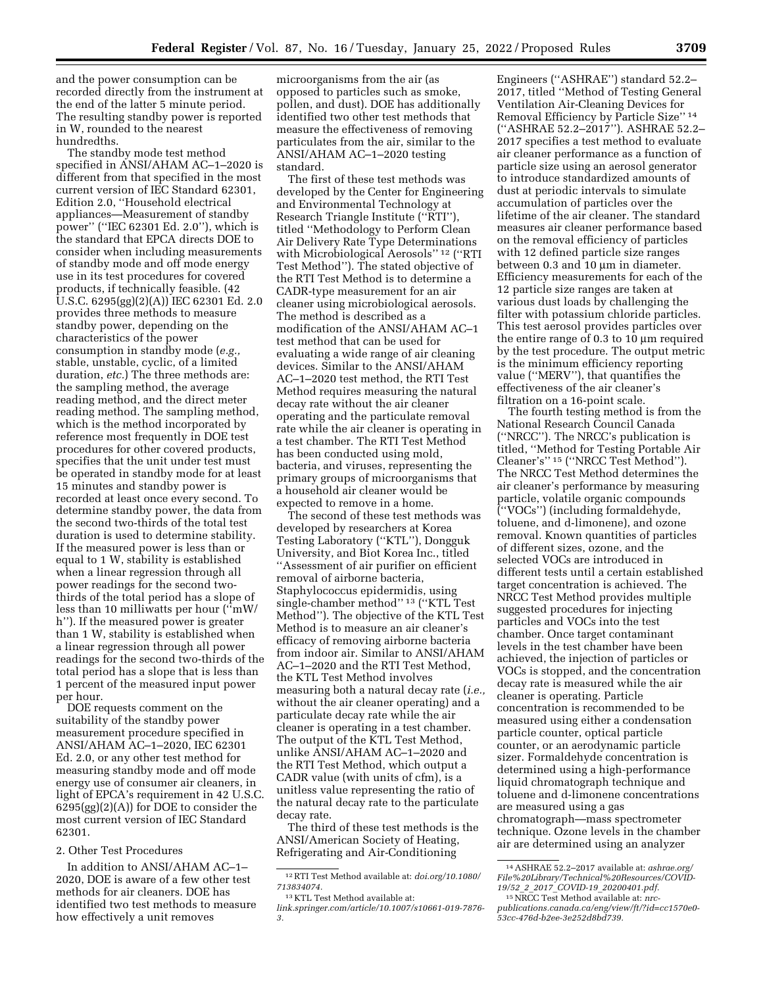and the power consumption can be recorded directly from the instrument at the end of the latter 5 minute period. The resulting standby power is reported in W, rounded to the nearest hundredths.

The standby mode test method specified in ANSI/AHAM AC–1–2020 is different from that specified in the most current version of IEC Standard 62301, Edition 2.0, ''Household electrical appliances—Measurement of standby power'' (''IEC 62301 Ed. 2.0''), which is the standard that EPCA directs DOE to consider when including measurements of standby mode and off mode energy use in its test procedures for covered products, if technically feasible. (42 U.S.C. 6295(gg)(2)(A)) IEC 62301 Ed. 2.0 provides three methods to measure standby power, depending on the characteristics of the power consumption in standby mode (*e.g.,*  stable, unstable, cyclic, of a limited duration, *etc.*) The three methods are: the sampling method, the average reading method, and the direct meter reading method. The sampling method, which is the method incorporated by reference most frequently in DOE test procedures for other covered products, specifies that the unit under test must be operated in standby mode for at least 15 minutes and standby power is recorded at least once every second. To determine standby power, the data from the second two-thirds of the total test duration is used to determine stability. If the measured power is less than or equal to 1 W, stability is established when a linear regression through all power readings for the second twothirds of the total period has a slope of less than 10 milliwatts per hour (''mW/ h''). If the measured power is greater than 1 W, stability is established when a linear regression through all power readings for the second two-thirds of the total period has a slope that is less than 1 percent of the measured input power per hour.

DOE requests comment on the suitability of the standby power measurement procedure specified in ANSI/AHAM AC–1–2020, IEC 62301 Ed. 2.0, or any other test method for measuring standby mode and off mode energy use of consumer air cleaners, in light of EPCA's requirement in 42 U.S.C. 6295(gg)(2)(A)) for DOE to consider the most current version of IEC Standard 62301.

## 2. Other Test Procedures

In addition to ANSI/AHAM AC–1– 2020, DOE is aware of a few other test methods for air cleaners. DOE has identified two test methods to measure how effectively a unit removes

microorganisms from the air (as opposed to particles such as smoke, pollen, and dust). DOE has additionally identified two other test methods that measure the effectiveness of removing particulates from the air, similar to the ANSI/AHAM AC–1–2020 testing standard.

The first of these test methods was developed by the Center for Engineering and Environmental Technology at Research Triangle Institute (''RTI''), titled ''Methodology to Perform Clean Air Delivery Rate Type Determinations with Microbiological Aerosols'' 12 (''RTI Test Method''). The stated objective of the RTI Test Method is to determine a CADR-type measurement for an air cleaner using microbiological aerosols. The method is described as a modification of the ANSI/AHAM AC–1 test method that can be used for evaluating a wide range of air cleaning devices. Similar to the ANSI/AHAM AC–1–2020 test method, the RTI Test Method requires measuring the natural decay rate without the air cleaner operating and the particulate removal rate while the air cleaner is operating in a test chamber. The RTI Test Method has been conducted using mold, bacteria, and viruses, representing the primary groups of microorganisms that a household air cleaner would be expected to remove in a home.

The second of these test methods was developed by researchers at Korea Testing Laboratory (''KTL''), Dongguk University, and Biot Korea Inc., titled ''Assessment of air purifier on efficient removal of airborne bacteria, Staphylococcus epidermidis, using single-chamber method'' 13 (''KTL Test Method''). The objective of the KTL Test Method is to measure an air cleaner's efficacy of removing airborne bacteria from indoor air. Similar to ANSI/AHAM AC–1–2020 and the RTI Test Method, the KTL Test Method involves measuring both a natural decay rate (*i.e.,*  without the air cleaner operating) and a particulate decay rate while the air cleaner is operating in a test chamber. The output of the KTL Test Method, unlike ANSI/AHAM AC–1–2020 and the RTI Test Method, which output a CADR value (with units of cfm), is a unitless value representing the ratio of the natural decay rate to the particulate decay rate.

The third of these test methods is the ANSI/American Society of Heating, Refrigerating and Air-Conditioning

Engineers (''ASHRAE'') standard 52.2– 2017, titled ''Method of Testing General Ventilation Air-Cleaning Devices for Removal Efficiency by Particle Size'' 14 (''ASHRAE 52.2–2017''). ASHRAE 52.2– 2017 specifies a test method to evaluate air cleaner performance as a function of particle size using an aerosol generator to introduce standardized amounts of dust at periodic intervals to simulate accumulation of particles over the lifetime of the air cleaner. The standard measures air cleaner performance based on the removal efficiency of particles with 12 defined particle size ranges between  $0.3$  and  $10 \mu m$  in diameter. Efficiency measurements for each of the 12 particle size ranges are taken at various dust loads by challenging the filter with potassium chloride particles. This test aerosol provides particles over the entire range of 0.3 to  $10 \mu m$  required by the test procedure. The output metric is the minimum efficiency reporting value (''MERV''), that quantifies the effectiveness of the air cleaner's filtration on a 16-point scale.

The fourth testing method is from the National Research Council Canada (''NRCC''). The NRCC's publication is titled, ''Method for Testing Portable Air Cleaner's'' 15 (''NRCC Test Method''). The NRCC Test Method determines the air cleaner's performance by measuring particle, volatile organic compounds (''VOCs'') (including formaldehyde, toluene, and d-limonene), and ozone removal. Known quantities of particles of different sizes, ozone, and the selected VOCs are introduced in different tests until a certain established target concentration is achieved. The NRCC Test Method provides multiple suggested procedures for injecting particles and VOCs into the test chamber. Once target contaminant levels in the test chamber have been achieved, the injection of particles or VOCs is stopped, and the concentration decay rate is measured while the air cleaner is operating. Particle concentration is recommended to be measured using either a condensation particle counter, optical particle counter, or an aerodynamic particle sizer. Formaldehyde concentration is determined using a high-performance liquid chromatograph technique and toluene and d-limonene concentrations are measured using a gas chromatograph—mass spectrometer technique. Ozone levels in the chamber air are determined using an analyzer

<sup>12</sup>RTI Test Method available at: *doi.org/10.1080/ 713834074.* 

<sup>13</sup> KTL Test Method available at:

*link.springer.com/article/10.1007/s10661-019-7876- 3.* 

<sup>14</sup>ASHRAE 52.2–2017 available at: *ashrae.org/ File%20Library/Technical%20Resources/COVID-19/52*\_*2*\_*2017*\_*COVID-19*\_*20200401.pdf.* 

<sup>15</sup>NRCC Test Method available at: *nrcpublications.canada.ca/eng/view/ft/?id=cc1570e0- 53cc-476d-b2ee-3e252d8bd739.*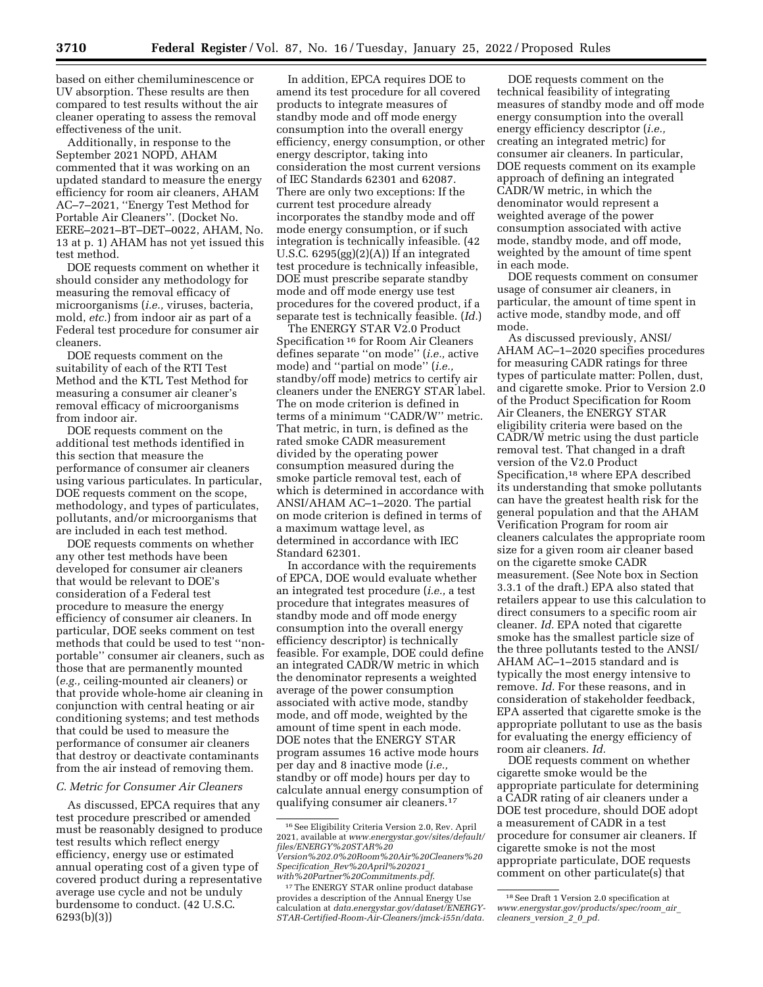based on either chemiluminescence or UV absorption. These results are then compared to test results without the air cleaner operating to assess the removal effectiveness of the unit.

Additionally, in response to the September 2021 NOPD, AHAM commented that it was working on an updated standard to measure the energy efficiency for room air cleaners, AHAM AC–7–2021, ''Energy Test Method for Portable Air Cleaners''. (Docket No. EERE–2021–BT–DET–0022, AHAM, No. 13 at p. 1) AHAM has not yet issued this test method.

DOE requests comment on whether it should consider any methodology for measuring the removal efficacy of microorganisms (*i.e.,* viruses, bacteria, mold, *etc.*) from indoor air as part of a Federal test procedure for consumer air cleaners.

DOE requests comment on the suitability of each of the RTI Test Method and the KTL Test Method for measuring a consumer air cleaner's removal efficacy of microorganisms from indoor air.

DOE requests comment on the additional test methods identified in this section that measure the performance of consumer air cleaners using various particulates. In particular, DOE requests comment on the scope, methodology, and types of particulates, pollutants, and/or microorganisms that are included in each test method.

DOE requests comments on whether any other test methods have been developed for consumer air cleaners that would be relevant to DOE's consideration of a Federal test procedure to measure the energy efficiency of consumer air cleaners. In particular, DOE seeks comment on test methods that could be used to test ''nonportable'' consumer air cleaners, such as those that are permanently mounted (*e.g.,* ceiling-mounted air cleaners) or that provide whole-home air cleaning in conjunction with central heating or air conditioning systems; and test methods that could be used to measure the performance of consumer air cleaners that destroy or deactivate contaminants from the air instead of removing them.

### *C. Metric for Consumer Air Cleaners*

As discussed, EPCA requires that any test procedure prescribed or amended must be reasonably designed to produce test results which reflect energy efficiency, energy use or estimated annual operating cost of a given type of covered product during a representative average use cycle and not be unduly burdensome to conduct. (42 U.S.C. 6293(b)(3))

In addition, EPCA requires DOE to amend its test procedure for all covered products to integrate measures of standby mode and off mode energy consumption into the overall energy efficiency, energy consumption, or other energy descriptor, taking into consideration the most current versions of IEC Standards 62301 and 62087. There are only two exceptions: If the current test procedure already incorporates the standby mode and off mode energy consumption, or if such integration is technically infeasible. (42 U.S.C. 6295(gg)(2)(A)) If an integrated test procedure is technically infeasible, DOE must prescribe separate standby mode and off mode energy use test procedures for the covered product, if a separate test is technically feasible. (*Id.*)

The ENERGY STAR V2.0 Product Specification 16 for Room Air Cleaners defines separate ''on mode'' (*i.e.,* active mode) and ''partial on mode'' (*i.e.,*  standby/off mode) metrics to certify air cleaners under the ENERGY STAR label. The on mode criterion is defined in terms of a minimum ''CADR/W'' metric. That metric, in turn, is defined as the rated smoke CADR measurement divided by the operating power consumption measured during the smoke particle removal test, each of which is determined in accordance with ANSI/AHAM AC–1–2020. The partial on mode criterion is defined in terms of a maximum wattage level, as determined in accordance with IEC Standard 62301.

In accordance with the requirements of EPCA, DOE would evaluate whether an integrated test procedure (*i.e.,* a test procedure that integrates measures of standby mode and off mode energy consumption into the overall energy efficiency descriptor) is technically feasible. For example, DOE could define an integrated CADR/W metric in which the denominator represents a weighted average of the power consumption associated with active mode, standby mode, and off mode, weighted by the amount of time spent in each mode. DOE notes that the ENERGY STAR program assumes 16 active mode hours per day and 8 inactive mode (*i.e.,*  standby or off mode) hours per day to calculate annual energy consumption of qualifying consumer air cleaners.17

DOE requests comment on the technical feasibility of integrating measures of standby mode and off mode energy consumption into the overall energy efficiency descriptor (*i.e.,*  creating an integrated metric) for consumer air cleaners. In particular, DOE requests comment on its example approach of defining an integrated CADR/W metric, in which the denominator would represent a weighted average of the power consumption associated with active mode, standby mode, and off mode, weighted by the amount of time spent in each mode.

DOE requests comment on consumer usage of consumer air cleaners, in particular, the amount of time spent in active mode, standby mode, and off mode.

As discussed previously, ANSI/ AHAM AC–1–2020 specifies procedures for measuring CADR ratings for three types of particulate matter: Pollen, dust, and cigarette smoke. Prior to Version 2.0 of the Product Specification for Room Air Cleaners, the ENERGY STAR eligibility criteria were based on the CADR/W metric using the dust particle removal test. That changed in a draft version of the V2.0 Product Specification,18 where EPA described its understanding that smoke pollutants can have the greatest health risk for the general population and that the AHAM Verification Program for room air cleaners calculates the appropriate room size for a given room air cleaner based on the cigarette smoke CADR measurement. (See Note box in Section 3.3.1 of the draft.) EPA also stated that retailers appear to use this calculation to direct consumers to a specific room air cleaner. *Id.* EPA noted that cigarette smoke has the smallest particle size of the three pollutants tested to the ANSI/ AHAM AC–1–2015 standard and is typically the most energy intensive to remove. *Id.* For these reasons, and in consideration of stakeholder feedback, EPA asserted that cigarette smoke is the appropriate pollutant to use as the basis for evaluating the energy efficiency of room air cleaners. *Id.* 

DOE requests comment on whether cigarette smoke would be the appropriate particulate for determining a CADR rating of air cleaners under a DOE test procedure, should DOE adopt a measurement of CADR in a test procedure for consumer air cleaners. If cigarette smoke is not the most appropriate particulate, DOE requests comment on other particulate(s) that

<sup>16</sup>See Eligibility Criteria Version 2.0, Rev. April 2021, available at *[www.energystar.gov/sites/default/](http://www.energystar.gov/sites/default/files/ENERGY%20STAR%20Version%202.0%20Room%20Air%20Cleaners%20Specification_Rev%20April%202021_with%20Partner%20Commitments.pdf) [files/ENERGY%20STAR%20](http://www.energystar.gov/sites/default/files/ENERGY%20STAR%20Version%202.0%20Room%20Air%20Cleaners%20Specification_Rev%20April%202021_with%20Partner%20Commitments.pdf) [Version%202.0%20Room%20Air%20Cleaners%20](http://www.energystar.gov/sites/default/files/ENERGY%20STAR%20Version%202.0%20Room%20Air%20Cleaners%20Specification_Rev%20April%202021_with%20Partner%20Commitments.pdf) Specification*\_*[Rev%20April%202021](http://www.energystar.gov/sites/default/files/ENERGY%20STAR%20Version%202.0%20Room%20Air%20Cleaners%20Specification_Rev%20April%202021_with%20Partner%20Commitments.pdf)*\_

*[with%20Partner%20Commitments.pdf](http://www.energystar.gov/sites/default/files/ENERGY%20STAR%20Version%202.0%20Room%20Air%20Cleaners%20Specification_Rev%20April%202021_with%20Partner%20Commitments.pdf)*. 17The ENERGY STAR online product database

provides a description of the Annual Energy Use calculation at *data.energystar.gov/dataset/ENERGY-STAR-Certified-Room-Air-Cleaners/jmck-i55n/data.* 

<sup>18</sup>See Draft 1 Version 2.0 specification at *[www.energystar.gov/products/spec/room](http://www.energystar.gov/products/spec/room_air_cleaners_version_2_0_pd)*\_*air*\_ *[cleaners](http://www.energystar.gov/products/spec/room_air_cleaners_version_2_0_pd)*\_*version*\_*2*\_*0*\_*pd.*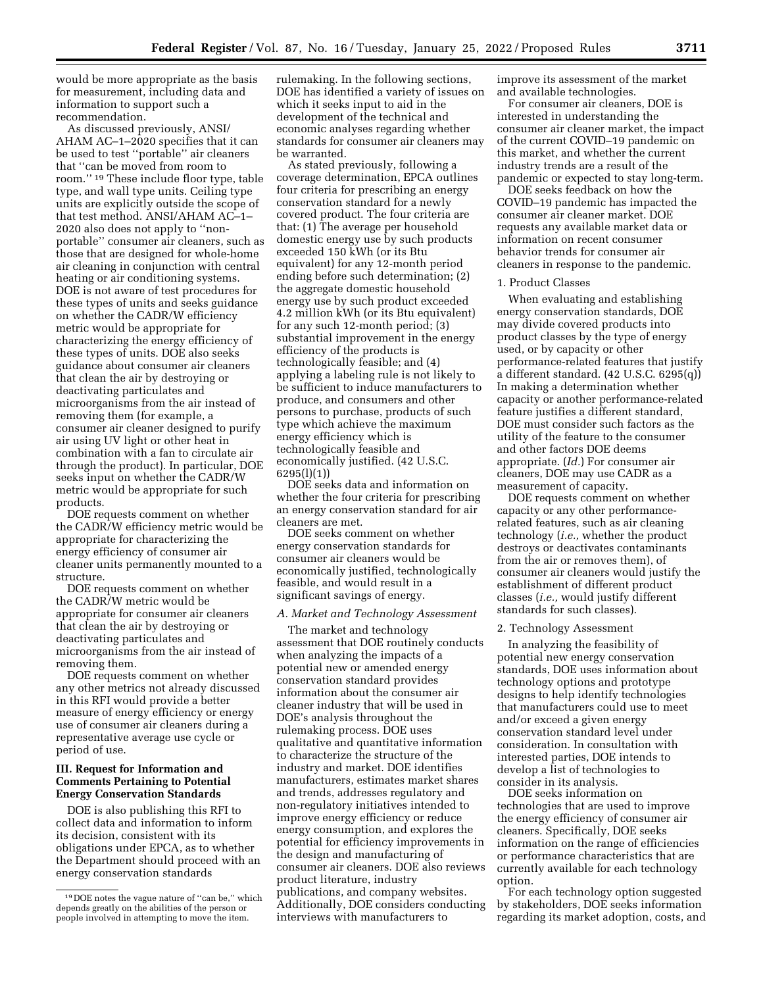would be more appropriate as the basis for measurement, including data and information to support such a recommendation.

As discussed previously, ANSI/ AHAM AC–1–2020 specifies that it can be used to test ''portable'' air cleaners that ''can be moved from room to room.'' 19 These include floor type, table type, and wall type units. Ceiling type units are explicitly outside the scope of that test method. ANSI/AHAM AC–1– 2020 also does not apply to ''nonportable'' consumer air cleaners, such as those that are designed for whole-home air cleaning in conjunction with central heating or air conditioning systems. DOE is not aware of test procedures for these types of units and seeks guidance on whether the CADR/W efficiency metric would be appropriate for characterizing the energy efficiency of these types of units. DOE also seeks guidance about consumer air cleaners that clean the air by destroying or deactivating particulates and microorganisms from the air instead of removing them (for example, a consumer air cleaner designed to purify air using UV light or other heat in combination with a fan to circulate air through the product). In particular, DOE seeks input on whether the CADR/W metric would be appropriate for such products.

DOE requests comment on whether the CADR/W efficiency metric would be appropriate for characterizing the energy efficiency of consumer air cleaner units permanently mounted to a structure.

DOE requests comment on whether the CADR/W metric would be appropriate for consumer air cleaners that clean the air by destroying or deactivating particulates and microorganisms from the air instead of removing them.

DOE requests comment on whether any other metrics not already discussed in this RFI would provide a better measure of energy efficiency or energy use of consumer air cleaners during a representative average use cycle or period of use.

## **III. Request for Information and Comments Pertaining to Potential Energy Conservation Standards**

DOE is also publishing this RFI to collect data and information to inform its decision, consistent with its obligations under EPCA, as to whether the Department should proceed with an energy conservation standards

rulemaking. In the following sections, DOE has identified a variety of issues on which it seeks input to aid in the development of the technical and economic analyses regarding whether standards for consumer air cleaners may be warranted.

As stated previously, following a coverage determination, EPCA outlines four criteria for prescribing an energy conservation standard for a newly covered product. The four criteria are that: (1) The average per household domestic energy use by such products exceeded 150 kWh (or its Btu equivalent) for any 12-month period ending before such determination; (2) the aggregate domestic household energy use by such product exceeded 4.2 million kWh (or its Btu equivalent) for any such 12-month period; (3) substantial improvement in the energy efficiency of the products is technologically feasible; and (4) applying a labeling rule is not likely to be sufficient to induce manufacturers to produce, and consumers and other persons to purchase, products of such type which achieve the maximum energy efficiency which is technologically feasible and economically justified. (42 U.S.C. 6295(l)(1))

DOE seeks data and information on whether the four criteria for prescribing an energy conservation standard for air cleaners are met.

DOE seeks comment on whether energy conservation standards for consumer air cleaners would be economically justified, technologically feasible, and would result in a significant savings of energy.

# *A. Market and Technology Assessment*

The market and technology assessment that DOE routinely conducts when analyzing the impacts of a potential new or amended energy conservation standard provides information about the consumer air cleaner industry that will be used in DOE's analysis throughout the rulemaking process. DOE uses qualitative and quantitative information to characterize the structure of the industry and market. DOE identifies manufacturers, estimates market shares and trends, addresses regulatory and non-regulatory initiatives intended to improve energy efficiency or reduce energy consumption, and explores the potential for efficiency improvements in the design and manufacturing of consumer air cleaners. DOE also reviews product literature, industry publications, and company websites. Additionally, DOE considers conducting interviews with manufacturers to

improve its assessment of the market and available technologies.

For consumer air cleaners, DOE is interested in understanding the consumer air cleaner market, the impact of the current COVID–19 pandemic on this market, and whether the current industry trends are a result of the pandemic or expected to stay long-term.

DOE seeks feedback on how the COVID–19 pandemic has impacted the consumer air cleaner market. DOE requests any available market data or information on recent consumer behavior trends for consumer air cleaners in response to the pandemic.

#### 1. Product Classes

When evaluating and establishing energy conservation standards, DOE may divide covered products into product classes by the type of energy used, or by capacity or other performance-related features that justify a different standard. (42 U.S.C. 6295(q)) In making a determination whether capacity or another performance-related feature justifies a different standard, DOE must consider such factors as the utility of the feature to the consumer and other factors DOE deems appropriate. (*Id.*) For consumer air cleaners, DOE may use CADR as a measurement of capacity.

DOE requests comment on whether capacity or any other performancerelated features, such as air cleaning technology (*i.e.,* whether the product destroys or deactivates contaminants from the air or removes them), of consumer air cleaners would justify the establishment of different product classes (*i.e.,* would justify different standards for such classes).

### 2. Technology Assessment

In analyzing the feasibility of potential new energy conservation standards, DOE uses information about technology options and prototype designs to help identify technologies that manufacturers could use to meet and/or exceed a given energy conservation standard level under consideration. In consultation with interested parties, DOE intends to develop a list of technologies to consider in its analysis.

DOE seeks information on technologies that are used to improve the energy efficiency of consumer air cleaners. Specifically, DOE seeks information on the range of efficiencies or performance characteristics that are currently available for each technology option.

For each technology option suggested by stakeholders, DOE seeks information regarding its market adoption, costs, and

<sup>19</sup> DOE notes the vague nature of ''can be,'' which depends greatly on the abilities of the person or people involved in attempting to move the item.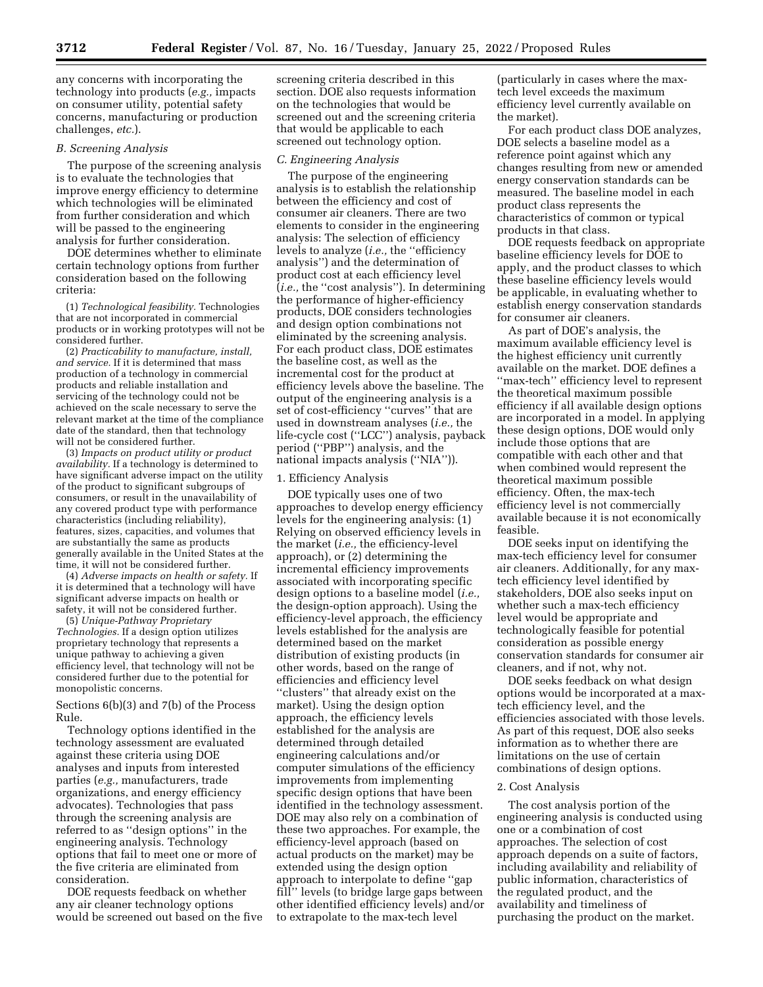any concerns with incorporating the technology into products (*e.g.,* impacts on consumer utility, potential safety concerns, manufacturing or production challenges, *etc.*).

## *B. Screening Analysis*

The purpose of the screening analysis is to evaluate the technologies that improve energy efficiency to determine which technologies will be eliminated from further consideration and which will be passed to the engineering analysis for further consideration.

DOE determines whether to eliminate certain technology options from further consideration based on the following criteria:

(1) *Technological feasibility.* Technologies that are not incorporated in commercial products or in working prototypes will not be considered further.

(2) *Practicability to manufacture, install, and service.* If it is determined that mass production of a technology in commercial products and reliable installation and servicing of the technology could not be achieved on the scale necessary to serve the relevant market at the time of the compliance date of the standard, then that technology will not be considered further.

(3) *Impacts on product utility or product availability.* If a technology is determined to have significant adverse impact on the utility of the product to significant subgroups of consumers, or result in the unavailability of any covered product type with performance characteristics (including reliability), features, sizes, capacities, and volumes that are substantially the same as products generally available in the United States at the time, it will not be considered further.

(4) *Adverse impacts on health or safety.* If it is determined that a technology will have significant adverse impacts on health or safety, it will not be considered further.

(5) *Unique-Pathway Proprietary Technologies.* If a design option utilizes proprietary technology that represents a unique pathway to achieving a given efficiency level, that technology will not be considered further due to the potential for monopolistic concerns.

Sections 6(b)(3) and 7(b) of the Process Rule.

Technology options identified in the technology assessment are evaluated against these criteria using DOE analyses and inputs from interested parties (*e.g.,* manufacturers, trade organizations, and energy efficiency advocates). Technologies that pass through the screening analysis are referred to as ''design options'' in the engineering analysis. Technology options that fail to meet one or more of the five criteria are eliminated from consideration.

DOE requests feedback on whether any air cleaner technology options would be screened out based on the five screening criteria described in this section. DOE also requests information on the technologies that would be screened out and the screening criteria that would be applicable to each screened out technology option.

#### *C. Engineering Analysis*

The purpose of the engineering analysis is to establish the relationship between the efficiency and cost of consumer air cleaners. There are two elements to consider in the engineering analysis: The selection of efficiency levels to analyze (*i.e.,* the ''efficiency analysis'') and the determination of product cost at each efficiency level (*i.e.,* the ''cost analysis''). In determining the performance of higher-efficiency products, DOE considers technologies and design option combinations not eliminated by the screening analysis. For each product class, DOE estimates the baseline cost, as well as the incremental cost for the product at efficiency levels above the baseline. The output of the engineering analysis is a set of cost-efficiency ''curves'' that are used in downstream analyses (*i.e.,* the life-cycle cost (''LCC'') analysis, payback period (''PBP'') analysis, and the national impacts analysis (''NIA'')).

#### 1. Efficiency Analysis

DOE typically uses one of two approaches to develop energy efficiency levels for the engineering analysis: (1) Relying on observed efficiency levels in the market (*i.e.,* the efficiency-level approach), or (2) determining the incremental efficiency improvements associated with incorporating specific design options to a baseline model (*i.e.,*  the design-option approach). Using the efficiency-level approach, the efficiency levels established for the analysis are determined based on the market distribution of existing products (in other words, based on the range of efficiencies and efficiency level ''clusters'' that already exist on the market). Using the design option approach, the efficiency levels established for the analysis are determined through detailed engineering calculations and/or computer simulations of the efficiency improvements from implementing specific design options that have been identified in the technology assessment. DOE may also rely on a combination of these two approaches. For example, the efficiency-level approach (based on actual products on the market) may be extended using the design option approach to interpolate to define ''gap fill'' levels (to bridge large gaps between other identified efficiency levels) and/or to extrapolate to the max-tech level

(particularly in cases where the maxtech level exceeds the maximum efficiency level currently available on the market).

For each product class DOE analyzes, DOE selects a baseline model as a reference point against which any changes resulting from new or amended energy conservation standards can be measured. The baseline model in each product class represents the characteristics of common or typical products in that class.

DOE requests feedback on appropriate baseline efficiency levels for DOE to apply, and the product classes to which these baseline efficiency levels would be applicable, in evaluating whether to establish energy conservation standards for consumer air cleaners.

As part of DOE's analysis, the maximum available efficiency level is the highest efficiency unit currently available on the market. DOE defines a ''max-tech'' efficiency level to represent the theoretical maximum possible efficiency if all available design options are incorporated in a model. In applying these design options, DOE would only include those options that are compatible with each other and that when combined would represent the theoretical maximum possible efficiency. Often, the max-tech efficiency level is not commercially available because it is not economically feasible.

DOE seeks input on identifying the max-tech efficiency level for consumer air cleaners. Additionally, for any maxtech efficiency level identified by stakeholders, DOE also seeks input on whether such a max-tech efficiency level would be appropriate and technologically feasible for potential consideration as possible energy conservation standards for consumer air cleaners, and if not, why not.

DOE seeks feedback on what design options would be incorporated at a maxtech efficiency level, and the efficiencies associated with those levels. As part of this request, DOE also seeks information as to whether there are limitations on the use of certain combinations of design options.

### 2. Cost Analysis

The cost analysis portion of the engineering analysis is conducted using one or a combination of cost approaches. The selection of cost approach depends on a suite of factors, including availability and reliability of public information, characteristics of the regulated product, and the availability and timeliness of purchasing the product on the market.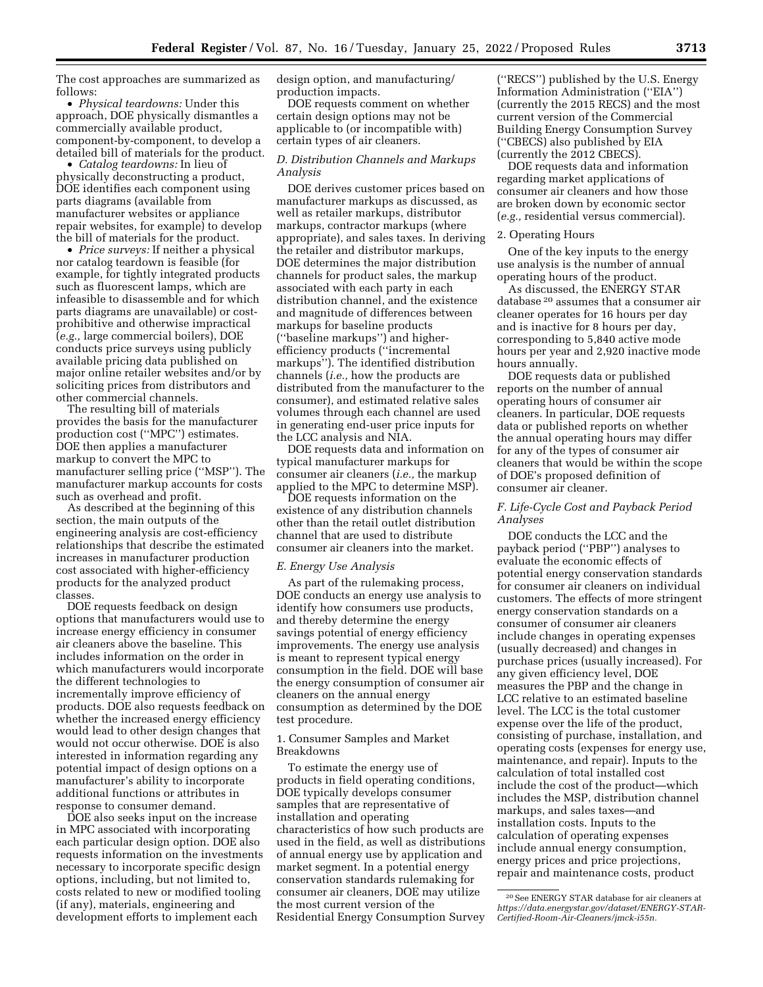The cost approaches are summarized as follows:

• *Physical teardowns:* Under this approach, DOE physically dismantles a commercially available product, component-by-component, to develop a detailed bill of materials for the product.

• *Catalog teardowns:* In lieu of physically deconstructing a product, DOE identifies each component using parts diagrams (available from manufacturer websites or appliance repair websites, for example) to develop the bill of materials for the product.

• *Price surveys:* If neither a physical nor catalog teardown is feasible (for example, for tightly integrated products such as fluorescent lamps, which are infeasible to disassemble and for which parts diagrams are unavailable) or costprohibitive and otherwise impractical (*e.g.,* large commercial boilers), DOE conducts price surveys using publicly available pricing data published on major online retailer websites and/or by soliciting prices from distributors and other commercial channels.

The resulting bill of materials provides the basis for the manufacturer production cost (''MPC'') estimates. DOE then applies a manufacturer markup to convert the MPC to manufacturer selling price (''MSP''). The manufacturer markup accounts for costs such as overhead and profit.

As described at the beginning of this section, the main outputs of the engineering analysis are cost-efficiency relationships that describe the estimated increases in manufacturer production cost associated with higher-efficiency products for the analyzed product classes.

DOE requests feedback on design options that manufacturers would use to increase energy efficiency in consumer air cleaners above the baseline. This includes information on the order in which manufacturers would incorporate the different technologies to incrementally improve efficiency of products. DOE also requests feedback on whether the increased energy efficiency would lead to other design changes that would not occur otherwise. DOE is also interested in information regarding any potential impact of design options on a manufacturer's ability to incorporate additional functions or attributes in response to consumer demand.

DOE also seeks input on the increase in MPC associated with incorporating each particular design option. DOE also requests information on the investments necessary to incorporate specific design options, including, but not limited to, costs related to new or modified tooling (if any), materials, engineering and development efforts to implement each

design option, and manufacturing/ production impacts.

DOE requests comment on whether certain design options may not be applicable to (or incompatible with) certain types of air cleaners.

### *D. Distribution Channels and Markups Analysis*

DOE derives customer prices based on manufacturer markups as discussed, as well as retailer markups, distributor markups, contractor markups (where appropriate), and sales taxes. In deriving the retailer and distributor markups, DOE determines the major distribution channels for product sales, the markup associated with each party in each distribution channel, and the existence and magnitude of differences between markups for baseline products (''baseline markups'') and higherefficiency products (''incremental markups''). The identified distribution channels (*i.e.,* how the products are distributed from the manufacturer to the consumer), and estimated relative sales volumes through each channel are used in generating end-user price inputs for the LCC analysis and NIA.

DOE requests data and information on typical manufacturer markups for consumer air cleaners (*i.e.,* the markup applied to the MPC to determine MSP).

DOE requests information on the existence of any distribution channels other than the retail outlet distribution channel that are used to distribute consumer air cleaners into the market.

### *E. Energy Use Analysis*

As part of the rulemaking process, DOE conducts an energy use analysis to identify how consumers use products, and thereby determine the energy savings potential of energy efficiency improvements. The energy use analysis is meant to represent typical energy consumption in the field. DOE will base the energy consumption of consumer air cleaners on the annual energy consumption as determined by the DOE test procedure.

## 1. Consumer Samples and Market Breakdowns

To estimate the energy use of products in field operating conditions, DOE typically develops consumer samples that are representative of installation and operating characteristics of how such products are used in the field, as well as distributions of annual energy use by application and market segment. In a potential energy conservation standards rulemaking for consumer air cleaners, DOE may utilize the most current version of the Residential Energy Consumption Survey

(''RECS'') published by the U.S. Energy Information Administration (''EIA'') (currently the 2015 RECS) and the most current version of the Commercial Building Energy Consumption Survey (''CBECS) also published by EIA (currently the 2012 CBECS).

DOE requests data and information regarding market applications of consumer air cleaners and how those are broken down by economic sector (*e.g.,* residential versus commercial).

#### 2. Operating Hours

One of the key inputs to the energy use analysis is the number of annual operating hours of the product.

As discussed, the ENERGY STAR database 20 assumes that a consumer air cleaner operates for 16 hours per day and is inactive for 8 hours per day, corresponding to 5,840 active mode hours per year and 2,920 inactive mode hours annually.

DOE requests data or published reports on the number of annual operating hours of consumer air cleaners. In particular, DOE requests data or published reports on whether the annual operating hours may differ for any of the types of consumer air cleaners that would be within the scope of DOE's proposed definition of consumer air cleaner.

# *F. Life-Cycle Cost and Payback Period Analyses*

DOE conducts the LCC and the payback period (''PBP'') analyses to evaluate the economic effects of potential energy conservation standards for consumer air cleaners on individual customers. The effects of more stringent energy conservation standards on a consumer of consumer air cleaners include changes in operating expenses (usually decreased) and changes in purchase prices (usually increased). For any given efficiency level, DOE measures the PBP and the change in LCC relative to an estimated baseline level. The LCC is the total customer expense over the life of the product, consisting of purchase, installation, and operating costs (expenses for energy use, maintenance, and repair). Inputs to the calculation of total installed cost include the cost of the product—which includes the MSP, distribution channel markups, and sales taxes—and installation costs. Inputs to the calculation of operating expenses include annual energy consumption, energy prices and price projections, repair and maintenance costs, product

<sup>20</sup>See ENERGY STAR database for air cleaners at *[https://data.energystar.gov/dataset/ENERGY-STAR-](https://data.energystar.gov/dataset/ENERGY-STAR-Certified-Room-Air-Cleaners/jmck-i55n)[Certified-Room-Air-Cleaners/jmck-i55n.](https://data.energystar.gov/dataset/ENERGY-STAR-Certified-Room-Air-Cleaners/jmck-i55n)*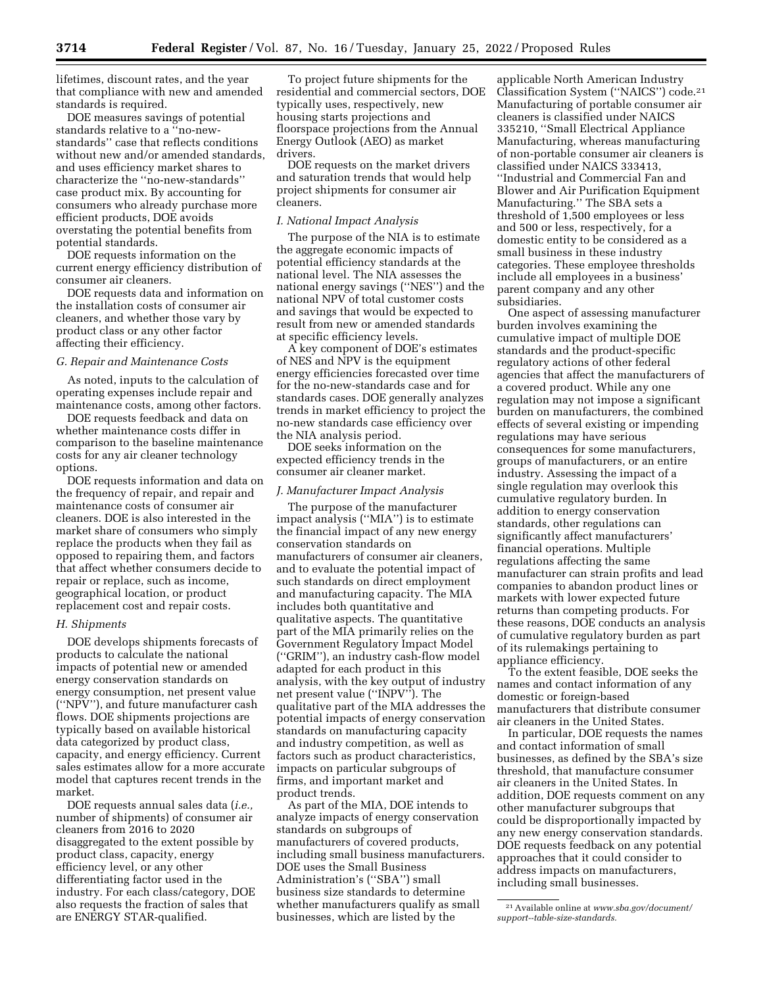lifetimes, discount rates, and the year that compliance with new and amended standards is required.

DOE measures savings of potential standards relative to a "no-newstandards'' case that reflects conditions without new and/or amended standards, and uses efficiency market shares to characterize the ''no-new-standards'' case product mix. By accounting for consumers who already purchase more efficient products, DOE avoids overstating the potential benefits from potential standards.

DOE requests information on the current energy efficiency distribution of consumer air cleaners.

DOE requests data and information on the installation costs of consumer air cleaners, and whether those vary by product class or any other factor affecting their efficiency.

# *G. Repair and Maintenance Costs*

As noted, inputs to the calculation of operating expenses include repair and maintenance costs, among other factors.

DOE requests feedback and data on whether maintenance costs differ in comparison to the baseline maintenance costs for any air cleaner technology options.

DOE requests information and data on the frequency of repair, and repair and maintenance costs of consumer air cleaners. DOE is also interested in the market share of consumers who simply replace the products when they fail as opposed to repairing them, and factors that affect whether consumers decide to repair or replace, such as income, geographical location, or product replacement cost and repair costs.

### *H. Shipments*

DOE develops shipments forecasts of products to calculate the national impacts of potential new or amended energy conservation standards on energy consumption, net present value (''NPV''), and future manufacturer cash flows. DOE shipments projections are typically based on available historical data categorized by product class, capacity, and energy efficiency. Current sales estimates allow for a more accurate model that captures recent trends in the market.

DOE requests annual sales data (*i.e.,*  number of shipments) of consumer air cleaners from 2016 to 2020 disaggregated to the extent possible by product class, capacity, energy efficiency level, or any other differentiating factor used in the industry. For each class/category, DOE also requests the fraction of sales that are ENERGY STAR-qualified.

To project future shipments for the residential and commercial sectors, DOE typically uses, respectively, new housing starts projections and floorspace projections from the Annual Energy Outlook (AEO) as market drivers.

DOE requests on the market drivers and saturation trends that would help project shipments for consumer air cleaners.

### *I. National Impact Analysis*

The purpose of the NIA is to estimate the aggregate economic impacts of potential efficiency standards at the national level. The NIA assesses the national energy savings (''NES'') and the national NPV of total customer costs and savings that would be expected to result from new or amended standards at specific efficiency levels.

A key component of DOE's estimates of NES and NPV is the equipment energy efficiencies forecasted over time for the no-new-standards case and for standards cases. DOE generally analyzes trends in market efficiency to project the no-new standards case efficiency over the NIA analysis period.

DOE seeks information on the expected efficiency trends in the consumer air cleaner market.

### *J. Manufacturer Impact Analysis*

The purpose of the manufacturer impact analysis (''MIA'') is to estimate the financial impact of any new energy conservation standards on manufacturers of consumer air cleaners, and to evaluate the potential impact of such standards on direct employment and manufacturing capacity. The MIA includes both quantitative and qualitative aspects. The quantitative part of the MIA primarily relies on the Government Regulatory Impact Model (''GRIM''), an industry cash-flow model adapted for each product in this analysis, with the key output of industry net present value (''INPV''). The qualitative part of the MIA addresses the potential impacts of energy conservation standards on manufacturing capacity and industry competition, as well as factors such as product characteristics, impacts on particular subgroups of firms, and important market and product trends.

As part of the MIA, DOE intends to analyze impacts of energy conservation standards on subgroups of manufacturers of covered products, including small business manufacturers. DOE uses the Small Business Administration's (''SBA'') small business size standards to determine whether manufacturers qualify as small businesses, which are listed by the

applicable North American Industry Classification System (''NAICS'') code.21 Manufacturing of portable consumer air cleaners is classified under NAICS 335210, ''Small Electrical Appliance Manufacturing, whereas manufacturing of non-portable consumer air cleaners is classified under NAICS 333413, ''Industrial and Commercial Fan and Blower and Air Purification Equipment Manufacturing.'' The SBA sets a threshold of 1,500 employees or less and 500 or less, respectively, for a domestic entity to be considered as a small business in these industry categories. These employee thresholds include all employees in a business' parent company and any other subsidiaries.

One aspect of assessing manufacturer burden involves examining the cumulative impact of multiple DOE standards and the product-specific regulatory actions of other federal agencies that affect the manufacturers of a covered product. While any one regulation may not impose a significant burden on manufacturers, the combined effects of several existing or impending regulations may have serious consequences for some manufacturers, groups of manufacturers, or an entire industry. Assessing the impact of a single regulation may overlook this cumulative regulatory burden. In addition to energy conservation standards, other regulations can significantly affect manufacturers' financial operations. Multiple regulations affecting the same manufacturer can strain profits and lead companies to abandon product lines or markets with lower expected future returns than competing products. For these reasons, DOE conducts an analysis of cumulative regulatory burden as part of its rulemakings pertaining to appliance efficiency.

To the extent feasible, DOE seeks the names and contact information of any domestic or foreign-based manufacturers that distribute consumer air cleaners in the United States.

In particular, DOE requests the names and contact information of small businesses, as defined by the SBA's size threshold, that manufacture consumer air cleaners in the United States. In addition, DOE requests comment on any other manufacturer subgroups that could be disproportionally impacted by any new energy conservation standards. DOE requests feedback on any potential approaches that it could consider to address impacts on manufacturers, including small businesses.

<sup>21</sup>Available online at *[www.sba.gov/document/](http://www.sba.gov/document/support--table-size-standards)  [support--table-size-standards.](http://www.sba.gov/document/support--table-size-standards)*